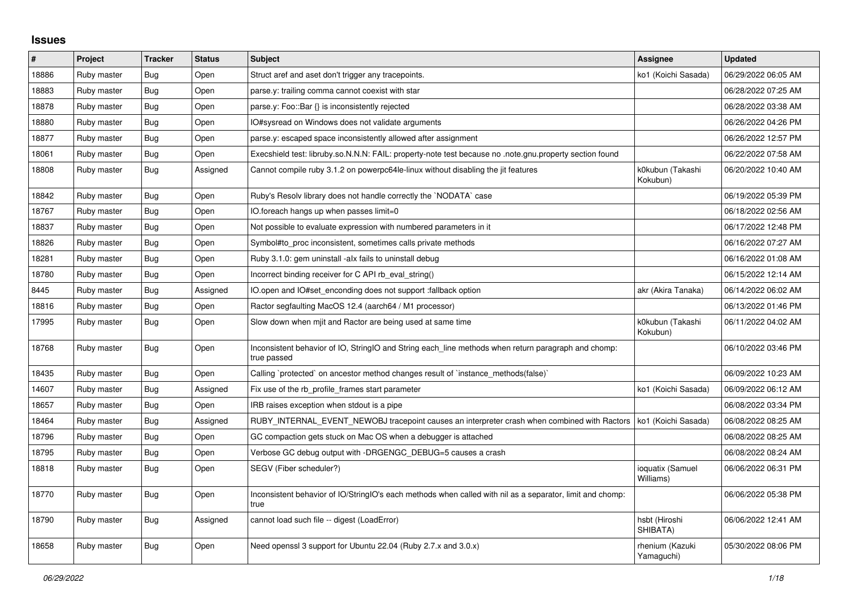## **Issues**

| $\pmb{\#}$ | Project     | <b>Tracker</b> | <b>Status</b> | Subject                                                                                                            | <b>Assignee</b>               | <b>Updated</b>      |
|------------|-------------|----------------|---------------|--------------------------------------------------------------------------------------------------------------------|-------------------------------|---------------------|
| 18886      | Ruby master | Bug            | Open          | Struct aref and aset don't trigger any tracepoints.                                                                | ko1 (Koichi Sasada)           | 06/29/2022 06:05 AM |
| 18883      | Ruby master | <b>Bug</b>     | Open          | parse.y: trailing comma cannot coexist with star                                                                   |                               | 06/28/2022 07:25 AM |
| 18878      | Ruby master | Bug            | Open          | parse.y: Foo::Bar {} is inconsistently rejected                                                                    |                               | 06/28/2022 03:38 AM |
| 18880      | Ruby master | Bug            | Open          | O#sysread on Windows does not validate arguments                                                                   |                               | 06/26/2022 04:26 PM |
| 18877      | Ruby master | Bug            | Open          | parse.y: escaped space inconsistently allowed after assignment                                                     |                               | 06/26/2022 12:57 PM |
| 18061      | Ruby master | Bug            | Open          | note.gnu.property section found foss. Exercision to D. F. All: property-note test because no .note.gnu.property    |                               | 06/22/2022 07:58 AM |
| 18808      | Ruby master | Bug            | Assigned      | Cannot compile ruby 3.1.2 on powerpc64le-linux without disabling the jit features                                  | k0kubun (Takashi<br>Kokubun)  | 06/20/2022 10:40 AM |
| 18842      | Ruby master | Bug            | Open          | Ruby's Resolv library does not handle correctly the `NODATA` case                                                  |                               | 06/19/2022 05:39 PM |
| 18767      | Ruby master | <b>Bug</b>     | Open          | IO.foreach hangs up when passes limit=0                                                                            |                               | 06/18/2022 02:56 AM |
| 18837      | Ruby master | Bug            | Open          | Not possible to evaluate expression with numbered parameters in it                                                 |                               | 06/17/2022 12:48 PM |
| 18826      | Ruby master | <b>Bug</b>     | Open          | Symbol#to_proc inconsistent, sometimes calls private methods                                                       |                               | 06/16/2022 07:27 AM |
| 18281      | Ruby master | <b>Bug</b>     | Open          | Ruby 3.1.0: gem uninstall -alx fails to uninstall debug                                                            |                               | 06/16/2022 01:08 AM |
| 18780      | Ruby master | <b>Bug</b>     | Open          | Incorrect binding receiver for C API rb_eval_string()                                                              |                               | 06/15/2022 12:14 AM |
| 8445       | Ruby master | Bug            | Assigned      | O.open and IO#set enconding does not support :fallback option                                                      | akr (Akira Tanaka)            | 06/14/2022 06:02 AM |
| 18816      | Ruby master | Bug            | Open          | Ractor segfaulting MacOS 12.4 (aarch64 / M1 processor)                                                             |                               | 06/13/2022 01:46 PM |
| 17995      | Ruby master | Bug            | Open          | Slow down when mjit and Ractor are being used at same time                                                         | k0kubun (Takashi<br>Kokubun)  | 06/11/2022 04:02 AM |
| 18768      | Ruby master | Bug            | Open          | Inconsistent behavior of IO, StringIO and String each line methods when return paragraph and chomp:<br>true passed |                               | 06/10/2022 03:46 PM |
| 18435      | Ruby master | Bug            | Open          | Calling `protected` on ancestor method changes result of `instance methods(false)`                                 |                               | 06/09/2022 10:23 AM |
| 14607      | Ruby master | Bug            | Assigned      | Fix use of the rb profile frames start parameter                                                                   | ko1 (Koichi Sasada)           | 06/09/2022 06:12 AM |
| 18657      | Ruby master | <b>Bug</b>     | Open          | IRB raises exception when stdout is a pipe                                                                         |                               | 06/08/2022 03:34 PM |
| 18464      | Ruby master | <b>Bug</b>     | Assigned      | RUBY_INTERNAL_EVENT_NEWOBJ tracepoint causes an interpreter crash when combined with Ractors                       | ko1 (Koichi Sasada)           | 06/08/2022 08:25 AM |
| 18796      | Ruby master | <b>Bug</b>     | Open          | GC compaction gets stuck on Mac OS when a debugger is attached                                                     |                               | 06/08/2022 08:25 AM |
| 18795      | Ruby master | <b>Bug</b>     | Open          | Verbose GC debug output with -DRGENGC_DEBUG=5 causes a crash                                                       |                               | 06/08/2022 08:24 AM |
| 18818      | Ruby master | <b>Bug</b>     | Open          | SEGV (Fiber scheduler?)                                                                                            | ioquatix (Samuel<br>Williams) | 06/06/2022 06:31 PM |
| 18770      | Ruby master | <b>Bug</b>     | Open          | Inconsistent behavior of IO/StringIO's each methods when called with nil as a separator, limit and chomp:<br>true  |                               | 06/06/2022 05:38 PM |
| 18790      | Ruby master | <b>Bug</b>     | Assigned      | cannot load such file -- digest (LoadError)                                                                        | hsbt (Hiroshi<br>SHIBATA)     | 06/06/2022 12:41 AM |
| 18658      | Ruby master | <b>Bug</b>     | Open          | Need openssl 3 support for Ubuntu 22.04 (Ruby 2.7.x and 3.0.x)                                                     | rhenium (Kazuki<br>Yamaguchi) | 05/30/2022 08:06 PM |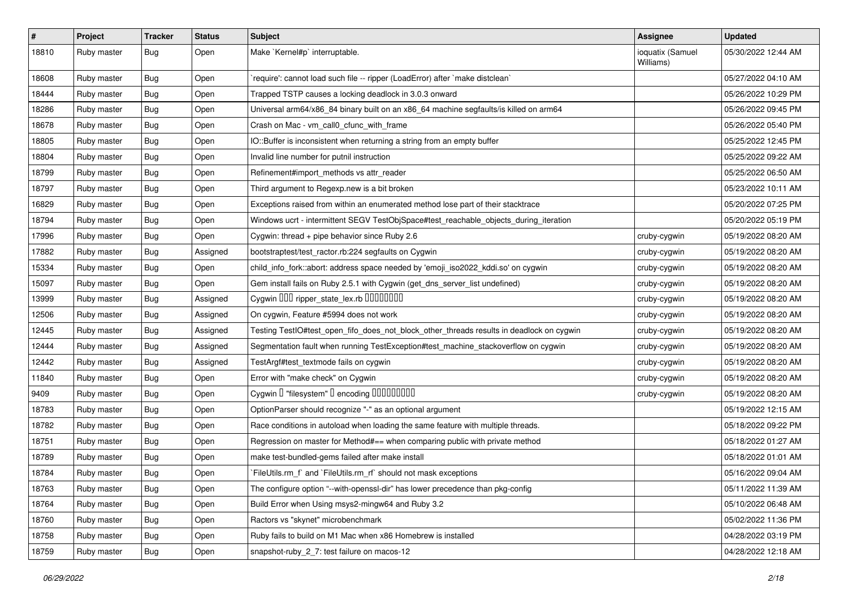| #     | Project     | <b>Tracker</b> | <b>Status</b> | Subject                                                                                  | <b>Assignee</b>               | <b>Updated</b>      |
|-------|-------------|----------------|---------------|------------------------------------------------------------------------------------------|-------------------------------|---------------------|
| 18810 | Ruby master | <b>Bug</b>     | Open          | Make `Kernel#p` interruptable.                                                           | ioquatix (Samuel<br>Williams) | 05/30/2022 12:44 AM |
| 18608 | Ruby master | Bug            | Open          | `require': cannot load such file -- ripper (LoadError) after `make distclean`            |                               | 05/27/2022 04:10 AM |
| 18444 | Ruby master | Bug            | Open          | Trapped TSTP causes a locking deadlock in 3.0.3 onward                                   |                               | 05/26/2022 10:29 PM |
| 18286 | Ruby master | <b>Bug</b>     | Open          | Universal arm64/x86_84 binary built on an x86_64 machine segfaults/is killed on arm64    |                               | 05/26/2022 09:45 PM |
| 18678 | Ruby master | <b>Bug</b>     | Open          | Crash on Mac - vm call0 cfunc with frame                                                 |                               | 05/26/2022 05:40 PM |
| 18805 | Ruby master | Bug            | Open          | IO::Buffer is inconsistent when returning a string from an empty buffer                  |                               | 05/25/2022 12:45 PM |
| 18804 | Ruby master | Bug            | Open          | Invalid line number for putnil instruction                                               |                               | 05/25/2022 09:22 AM |
| 18799 | Ruby master | Bug            | Open          | Refinement#import_methods vs attr_reader                                                 |                               | 05/25/2022 06:50 AM |
| 18797 | Ruby master | <b>Bug</b>     | Open          | Third argument to Regexp.new is a bit broken                                             |                               | 05/23/2022 10:11 AM |
| 16829 | Ruby master | <b>Bug</b>     | Open          | Exceptions raised from within an enumerated method lose part of their stacktrace         |                               | 05/20/2022 07:25 PM |
| 18794 | Ruby master | <b>Bug</b>     | Open          | Windows ucrt - intermittent SEGV TestObjSpace#test_reachable_objects_during_iteration    |                               | 05/20/2022 05:19 PM |
| 17996 | Ruby master | Bug            | Open          | Cygwin: thread + pipe behavior since Ruby 2.6                                            | cruby-cygwin                  | 05/19/2022 08:20 AM |
| 17882 | Ruby master | Bug            | Assigned      | bootstraptest/test_ractor.rb:224 segfaults on Cygwin                                     | cruby-cygwin                  | 05/19/2022 08:20 AM |
| 15334 | Ruby master | <b>Bug</b>     | Open          | child_info_fork::abort: address space needed by 'emoji_iso2022_kddi.so' on cygwin        | cruby-cygwin                  | 05/19/2022 08:20 AM |
| 15097 | Ruby master | Bug            | Open          | Gem install fails on Ruby 2.5.1 with Cygwin (get_dns_server_list undefined)              | cruby-cygwin                  | 05/19/2022 08:20 AM |
| 13999 | Ruby master | <b>Bug</b>     | Assigned      | Cygwin OOO ripper_state_lex.rb 0000000                                                   | cruby-cygwin                  | 05/19/2022 08:20 AM |
| 12506 | Ruby master | <b>Bug</b>     | Assigned      | On cygwin, Feature #5994 does not work                                                   | cruby-cygwin                  | 05/19/2022 08:20 AM |
| 12445 | Ruby master | Bug            | Assigned      | Testing TestIO#test_open_fifo_does_not_block_other_threads results in deadlock on cygwin | cruby-cygwin                  | 05/19/2022 08:20 AM |
| 12444 | Ruby master | <b>Bug</b>     | Assigned      | Segmentation fault when running TestException#test_machine_stackoverflow on cygwin       | cruby-cygwin                  | 05/19/2022 08:20 AM |
| 12442 | Ruby master | Bug            | Assigned      | TestArgf#test_textmode fails on cygwin                                                   | cruby-cygwin                  | 05/19/2022 08:20 AM |
| 11840 | Ruby master | <b>Bug</b>     | Open          | Error with "make check" on Cygwin                                                        | cruby-cygwin                  | 05/19/2022 08:20 AM |
| 9409  | Ruby master | <b>Bug</b>     | Open          | Cygwin I "filesystem" I encoding IIIIIIIIIIIII                                           | cruby-cygwin                  | 05/19/2022 08:20 AM |
| 18783 | Ruby master | <b>Bug</b>     | Open          | OptionParser should recognize "-" as an optional argument                                |                               | 05/19/2022 12:15 AM |
| 18782 | Ruby master | Bug            | Open          | Race conditions in autoload when loading the same feature with multiple threads.         |                               | 05/18/2022 09:22 PM |
| 18751 | Ruby master | <b>Bug</b>     | Open          | Regression on master for Method#== when comparing public with private method             |                               | 05/18/2022 01:27 AM |
| 18789 | Ruby master | <b>Bug</b>     | Open          | make test-bundled-gems failed after make install                                         |                               | 05/18/2022 01:01 AM |
| 18784 | Ruby master | <b>Bug</b>     | Open          | FileUtils.rm_f` and `FileUtils.rm_rf` should not mask exceptions                         |                               | 05/16/2022 09:04 AM |
| 18763 | Ruby master | <b>Bug</b>     | Open          | The configure option "--with-openssl-dir" has lower precedence than pkg-config           |                               | 05/11/2022 11:39 AM |
| 18764 | Ruby master | Bug            | Open          | Build Error when Using msys2-mingw64 and Ruby 3.2                                        |                               | 05/10/2022 06:48 AM |
| 18760 | Ruby master | <b>Bug</b>     | Open          | Ractors vs "skynet" microbenchmark                                                       |                               | 05/02/2022 11:36 PM |
| 18758 | Ruby master | <b>Bug</b>     | Open          | Ruby fails to build on M1 Mac when x86 Homebrew is installed                             |                               | 04/28/2022 03:19 PM |
| 18759 | Ruby master | <b>Bug</b>     | Open          | snapshot-ruby_2_7: test failure on macos-12                                              |                               | 04/28/2022 12:18 AM |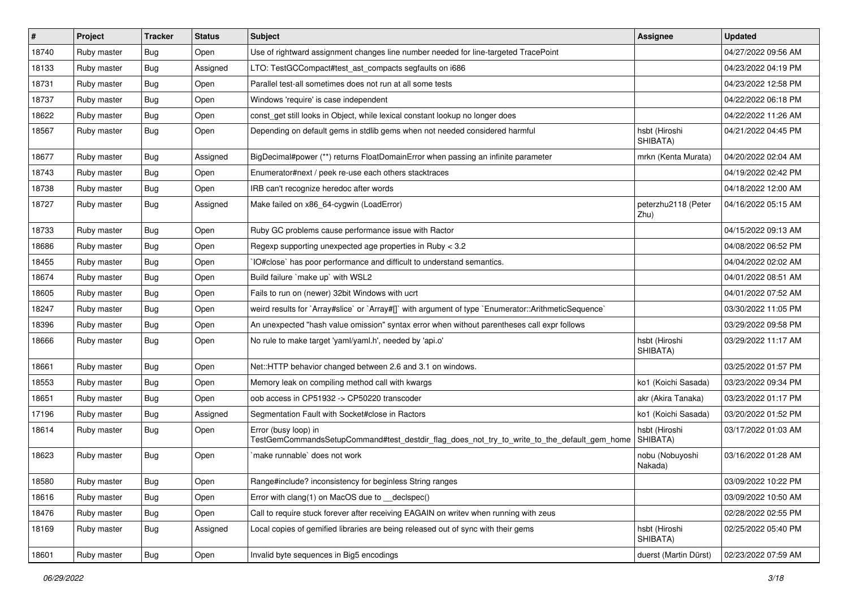| $\vert$ # | Project     | <b>Tracker</b> | <b>Status</b> | Subject                                                                                                             | <b>Assignee</b>             | <b>Updated</b>      |
|-----------|-------------|----------------|---------------|---------------------------------------------------------------------------------------------------------------------|-----------------------------|---------------------|
| 18740     | Ruby master | Bug            | Open          | Use of rightward assignment changes line number needed for line-targeted TracePoint                                 |                             | 04/27/2022 09:56 AM |
| 18133     | Ruby master | Bug            | Assigned      | LTO: TestGCCompact#test_ast_compacts segfaults on i686                                                              |                             | 04/23/2022 04:19 PM |
| 18731     | Ruby master | Bug            | Open          | Parallel test-all sometimes does not run at all some tests                                                          |                             | 04/23/2022 12:58 PM |
| 18737     | Ruby master | <b>Bug</b>     | Open          | Windows 'require' is case independent                                                                               |                             | 04/22/2022 06:18 PM |
| 18622     | Ruby master | Bug            | Open          | const_get still looks in Object, while lexical constant lookup no longer does                                       |                             | 04/22/2022 11:26 AM |
| 18567     | Ruby master | Bug            | Open          | Depending on default gems in stdlib gems when not needed considered harmful                                         | hsbt (Hiroshi<br>SHIBATA)   | 04/21/2022 04:45 PM |
| 18677     | Ruby master | Bug            | Assigned      | BigDecimal#power (**) returns FloatDomainError when passing an infinite parameter                                   | mrkn (Kenta Murata)         | 04/20/2022 02:04 AM |
| 18743     | Ruby master | Bug            | Open          | Enumerator#next / peek re-use each others stacktraces                                                               |                             | 04/19/2022 02:42 PM |
| 18738     | Ruby master | Bug            | Open          | IRB can't recognize heredoc after words                                                                             |                             | 04/18/2022 12:00 AM |
| 18727     | Ruby master | Bug            | Assigned      | Make failed on x86_64-cygwin (LoadError)                                                                            | peterzhu2118 (Peter<br>Zhu) | 04/16/2022 05:15 AM |
| 18733     | Ruby master | Bug            | Open          | Ruby GC problems cause performance issue with Ractor                                                                |                             | 04/15/2022 09:13 AM |
| 18686     | Ruby master | Bug            | Open          | Regexp supporting unexpected age properties in Ruby < 3.2                                                           |                             | 04/08/2022 06:52 PM |
| 18455     | Ruby master | <b>Bug</b>     | Open          | IO#close` has poor performance and difficult to understand semantics.                                               |                             | 04/04/2022 02:02 AM |
| 18674     | Ruby master | Bug            | Open          | Build failure `make up` with WSL2                                                                                   |                             | 04/01/2022 08:51 AM |
| 18605     | Ruby master | Bug            | Open          | Fails to run on (newer) 32bit Windows with ucrt                                                                     |                             | 04/01/2022 07:52 AM |
| 18247     | Ruby master | <b>Bug</b>     | Open          | weird results for `Array#slice` or `Array#[]` with argument of type `Enumerator::ArithmeticSequence`                |                             | 03/30/2022 11:05 PM |
| 18396     | Ruby master | Bug            | Open          | An unexpected "hash value omission" syntax error when without parentheses call expr follows                         |                             | 03/29/2022 09:58 PM |
| 18666     | Ruby master | Bug            | Open          | No rule to make target 'yaml/yaml.h', needed by 'api.o'                                                             | hsbt (Hiroshi<br>SHIBATA)   | 03/29/2022 11:17 AM |
| 18661     | Ruby master | Bug            | Open          | Net::HTTP behavior changed between 2.6 and 3.1 on windows.                                                          |                             | 03/25/2022 01:57 PM |
| 18553     | Ruby master | Bug            | Open          | Memory leak on compiling method call with kwargs                                                                    | ko1 (Koichi Sasada)         | 03/23/2022 09:34 PM |
| 18651     | Ruby master | Bug            | Open          | oob access in CP51932 -> CP50220 transcoder                                                                         | akr (Akira Tanaka)          | 03/23/2022 01:17 PM |
| 17196     | Ruby master | <b>Bug</b>     | Assigned      | Segmentation Fault with Socket#close in Ractors                                                                     | ko1 (Koichi Sasada)         | 03/20/2022 01:52 PM |
| 18614     | Ruby master | Bug            | Open          | Error (busy loop) in<br>TestGemCommandsSetupCommand#test_destdir_flag_does_not_try_to_write_to_the_default_gem_home | hsbt (Hiroshi<br>SHIBATA)   | 03/17/2022 01:03 AM |
| 18623     | Ruby master | Bug            | Open          | `make runnable` does not work                                                                                       | nobu (Nobuyoshi<br>Nakada)  | 03/16/2022 01:28 AM |
| 18580     | Ruby master | Bug            | Open          | Range#include? inconsistency for beginless String ranges                                                            |                             | 03/09/2022 10:22 PM |
| 18616     | Ruby master | <b>Bug</b>     | Open          | Error with clang(1) on MacOS due to __declspec()                                                                    |                             | 03/09/2022 10:50 AM |
| 18476     | Ruby master | <b>Bug</b>     | Open          | Call to require stuck forever after receiving EAGAIN on writev when running with zeus                               |                             | 02/28/2022 02:55 PM |
| 18169     | Ruby master | <b>Bug</b>     | Assigned      | Local copies of gemified libraries are being released out of sync with their gems                                   | hsbt (Hiroshi<br>SHIBATA)   | 02/25/2022 05:40 PM |
| 18601     | Ruby master | <b>Bug</b>     | Open          | Invalid byte sequences in Big5 encodings                                                                            | duerst (Martin Dürst)       | 02/23/2022 07:59 AM |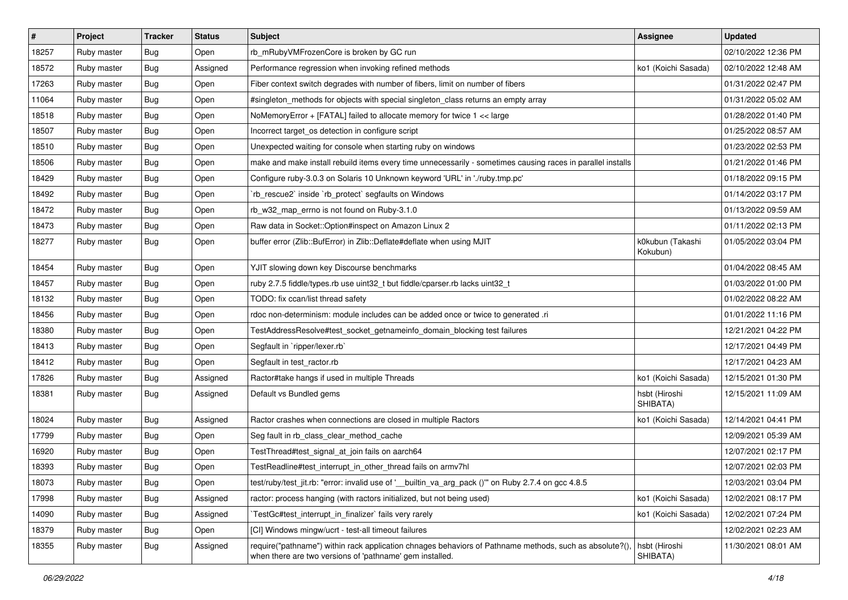| $\vert$ # | Project     | <b>Tracker</b> | <b>Status</b> | Subject                                                                                                                                                             | <b>Assignee</b>              | <b>Updated</b>      |
|-----------|-------------|----------------|---------------|---------------------------------------------------------------------------------------------------------------------------------------------------------------------|------------------------------|---------------------|
| 18257     | Ruby master | Bug            | Open          | rb_mRubyVMFrozenCore is broken by GC run                                                                                                                            |                              | 02/10/2022 12:36 PM |
| 18572     | Ruby master | <b>Bug</b>     | Assigned      | Performance regression when invoking refined methods                                                                                                                | ko1 (Koichi Sasada)          | 02/10/2022 12:48 AM |
| 17263     | Ruby master | Bug            | Open          | Fiber context switch degrades with number of fibers, limit on number of fibers                                                                                      |                              | 01/31/2022 02:47 PM |
| 11064     | Ruby master | <b>Bug</b>     | Open          | #singleton_methods for objects with special singleton_class returns an empty array                                                                                  |                              | 01/31/2022 05:02 AM |
| 18518     | Ruby master | <b>Bug</b>     | Open          | NoMemoryError + [FATAL] failed to allocate memory for twice 1 << large                                                                                              |                              | 01/28/2022 01:40 PM |
| 18507     | Ruby master | <b>Bug</b>     | Open          | Incorrect target os detection in configure script                                                                                                                   |                              | 01/25/2022 08:57 AM |
| 18510     | Ruby master | <b>Bug</b>     | Open          | Unexpected waiting for console when starting ruby on windows                                                                                                        |                              | 01/23/2022 02:53 PM |
| 18506     | Ruby master | Bug            | Open          | make and make install rebuild items every time unnecessarily - sometimes causing races in parallel installs                                                         |                              | 01/21/2022 01:46 PM |
| 18429     | Ruby master | <b>Bug</b>     | Open          | Configure ruby-3.0.3 on Solaris 10 Unknown keyword 'URL' in './ruby.tmp.pc'                                                                                         |                              | 01/18/2022 09:15 PM |
| 18492     | Ruby master | <b>Bug</b>     | Open          | `rb_rescue2` inside `rb_protect` segfaults on Windows                                                                                                               |                              | 01/14/2022 03:17 PM |
| 18472     | Ruby master | Bug            | Open          | rb w32 map errno is not found on Ruby-3.1.0                                                                                                                         |                              | 01/13/2022 09:59 AM |
| 18473     | Ruby master | <b>Bug</b>     | Open          | Raw data in Socket::Option#inspect on Amazon Linux 2                                                                                                                |                              | 01/11/2022 02:13 PM |
| 18277     | Ruby master | <b>Bug</b>     | Open          | buffer error (Zlib::BufError) in Zlib::Deflate#deflate when using MJIT                                                                                              | k0kubun (Takashi<br>Kokubun) | 01/05/2022 03:04 PM |
| 18454     | Ruby master | <b>Bug</b>     | Open          | YJIT slowing down key Discourse benchmarks                                                                                                                          |                              | 01/04/2022 08:45 AM |
| 18457     | Ruby master | Bug            | Open          | ruby 2.7.5 fiddle/types.rb use uint32_t but fiddle/cparser.rb lacks uint32_t                                                                                        |                              | 01/03/2022 01:00 PM |
| 18132     | Ruby master | <b>Bug</b>     | Open          | TODO: fix ccan/list thread safety                                                                                                                                   |                              | 01/02/2022 08:22 AM |
| 18456     | Ruby master | <b>Bug</b>     | Open          | rdoc non-determinism: module includes can be added once or twice to generated .ri                                                                                   |                              | 01/01/2022 11:16 PM |
| 18380     | Ruby master | <b>Bug</b>     | Open          | TestAddressResolve#test_socket_getnameinfo_domain_blocking test failures                                                                                            |                              | 12/21/2021 04:22 PM |
| 18413     | Ruby master | <b>Bug</b>     | Open          | Segfault in `ripper/lexer.rb`                                                                                                                                       |                              | 12/17/2021 04:49 PM |
| 18412     | Ruby master | <b>Bug</b>     | Open          | Segfault in test ractor.rb                                                                                                                                          |                              | 12/17/2021 04:23 AM |
| 17826     | Ruby master | <b>Bug</b>     | Assigned      | Ractor#take hangs if used in multiple Threads                                                                                                                       | ko1 (Koichi Sasada)          | 12/15/2021 01:30 PM |
| 18381     | Ruby master | <b>Bug</b>     | Assigned      | Default vs Bundled gems                                                                                                                                             | hsbt (Hiroshi<br>SHIBATA)    | 12/15/2021 11:09 AM |
| 18024     | Ruby master | <b>Bug</b>     | Assigned      | Ractor crashes when connections are closed in multiple Ractors                                                                                                      | ko1 (Koichi Sasada)          | 12/14/2021 04:41 PM |
| 17799     | Ruby master | <b>Bug</b>     | Open          | Seg fault in rb_class_clear_method_cache                                                                                                                            |                              | 12/09/2021 05:39 AM |
| 16920     | Ruby master | <b>Bug</b>     | Open          | TestThread#test_signal_at_join fails on aarch64                                                                                                                     |                              | 12/07/2021 02:17 PM |
| 18393     | Ruby master | Bug            | Open          | TestReadline#test_interrupt_in_other_thread fails on armv7hl                                                                                                        |                              | 12/07/2021 02:03 PM |
| 18073     | Ruby master | <b>Bug</b>     | Open          | test/ruby/test_jit.rb: "error: invalid use of '__builtin_va_arg_pack ()" on Ruby 2.7.4 on gcc 4.8.5                                                                 |                              | 12/03/2021 03:04 PM |
| 17998     | Ruby master | <b>Bug</b>     | Assigned      | ractor: process hanging (with ractors initialized, but not being used)                                                                                              | ko1 (Koichi Sasada)          | 12/02/2021 08:17 PM |
| 14090     | Ruby master | <b>Bug</b>     | Assigned      | TestGc#test_interrupt_in_finalizer`fails very rarely                                                                                                                | ko1 (Koichi Sasada)          | 12/02/2021 07:24 PM |
| 18379     | Ruby master | <b>Bug</b>     | Open          | [CI] Windows mingw/ucrt - test-all timeout failures                                                                                                                 |                              | 12/02/2021 02:23 AM |
| 18355     | Ruby master | <b>Bug</b>     | Assigned      | require("pathname") within rack application chnages behaviors of Pathname methods, such as absolute?(),<br>when there are two versions of 'pathname' gem installed. | hsbt (Hiroshi<br>SHIBATA)    | 11/30/2021 08:01 AM |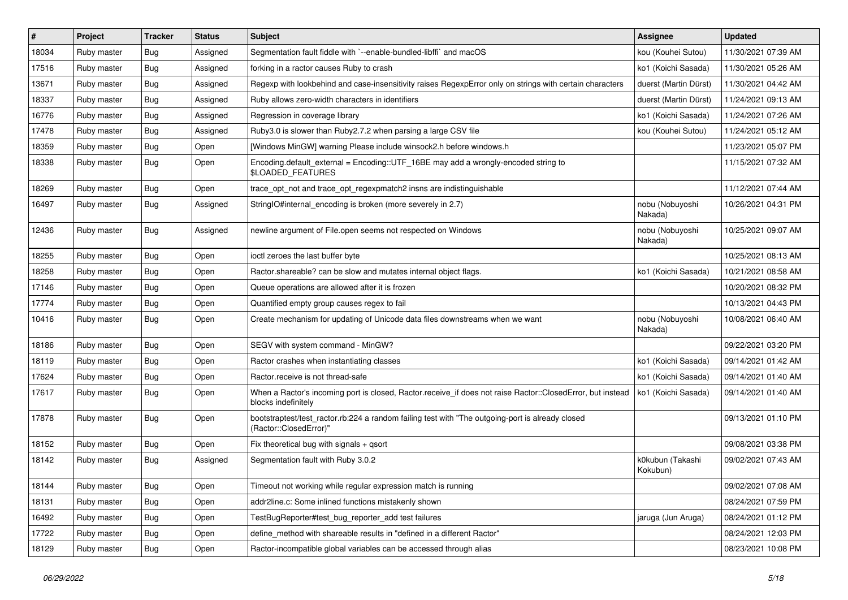| $\vert$ # | Project     | <b>Tracker</b> | <b>Status</b> | Subject                                                                                                                           | <b>Assignee</b>              | <b>Updated</b>      |
|-----------|-------------|----------------|---------------|-----------------------------------------------------------------------------------------------------------------------------------|------------------------------|---------------------|
| 18034     | Ruby master | <b>Bug</b>     | Assigned      | Segmentation fault fiddle with `--enable-bundled-libffi` and macOS                                                                | kou (Kouhei Sutou)           | 11/30/2021 07:39 AM |
| 17516     | Ruby master | Bug            | Assigned      | forking in a ractor causes Ruby to crash                                                                                          | ko1 (Koichi Sasada)          | 11/30/2021 05:26 AM |
| 13671     | Ruby master | Bug            | Assigned      | Regexp with lookbehind and case-insensitivity raises RegexpError only on strings with certain characters                          | duerst (Martin Dürst)        | 11/30/2021 04:42 AM |
| 18337     | Ruby master | <b>Bug</b>     | Assigned      | Ruby allows zero-width characters in identifiers                                                                                  | duerst (Martin Dürst)        | 11/24/2021 09:13 AM |
| 16776     | Ruby master | Bug            | Assigned      | Regression in coverage library                                                                                                    | ko1 (Koichi Sasada)          | 11/24/2021 07:26 AM |
| 17478     | Ruby master | <b>Bug</b>     | Assigned      | Ruby3.0 is slower than Ruby2.7.2 when parsing a large CSV file                                                                    | kou (Kouhei Sutou)           | 11/24/2021 05:12 AM |
| 18359     | Ruby master | <b>Bug</b>     | Open          | [Windows MinGW] warning Please include winsock2.h before windows.h                                                                |                              | 11/23/2021 05:07 PM |
| 18338     | Ruby master | <b>Bug</b>     | Open          | Encoding.default_external = Encoding::UTF_16BE may add a wrongly-encoded string to<br>\$LOADED_FEATURES                           |                              | 11/15/2021 07:32 AM |
| 18269     | Ruby master | <b>Bug</b>     | Open          | trace_opt_not and trace_opt_regexpmatch2 insns are indistinguishable                                                              |                              | 11/12/2021 07:44 AM |
| 16497     | Ruby master | Bug            | Assigned      | StringIO#internal_encoding is broken (more severely in 2.7)                                                                       | nobu (Nobuyoshi<br>Nakada)   | 10/26/2021 04:31 PM |
| 12436     | Ruby master | Bug            | Assigned      | newline argument of File.open seems not respected on Windows                                                                      | nobu (Nobuyoshi<br>Nakada)   | 10/25/2021 09:07 AM |
| 18255     | Ruby master | <b>Bug</b>     | Open          | ioctl zeroes the last buffer byte                                                                                                 |                              | 10/25/2021 08:13 AM |
| 18258     | Ruby master | <b>Bug</b>     | Open          | Ractor shareable? can be slow and mutates internal object flags.                                                                  | ko1 (Koichi Sasada)          | 10/21/2021 08:58 AM |
| 17146     | Ruby master | <b>Bug</b>     | Open          | Queue operations are allowed after it is frozen                                                                                   |                              | 10/20/2021 08:32 PM |
| 17774     | Ruby master | <b>Bug</b>     | Open          | Quantified empty group causes regex to fail                                                                                       |                              | 10/13/2021 04:43 PM |
| 10416     | Ruby master | Bug            | Open          | Create mechanism for updating of Unicode data files downstreams when we want                                                      | nobu (Nobuyoshi<br>Nakada)   | 10/08/2021 06:40 AM |
| 18186     | Ruby master | <b>Bug</b>     | Open          | SEGV with system command - MinGW?                                                                                                 |                              | 09/22/2021 03:20 PM |
| 18119     | Ruby master | <b>Bug</b>     | Open          | Ractor crashes when instantiating classes                                                                                         | ko1 (Koichi Sasada)          | 09/14/2021 01:42 AM |
| 17624     | Ruby master | <b>Bug</b>     | Open          | Ractor.receive is not thread-safe                                                                                                 | ko1 (Koichi Sasada)          | 09/14/2021 01:40 AM |
| 17617     | Ruby master | <b>Bug</b>     | Open          | When a Ractor's incoming port is closed, Ractor.receive_if does not raise Ractor::ClosedError, but instead<br>blocks indefinitely | ko1 (Koichi Sasada)          | 09/14/2021 01:40 AM |
| 17878     | Ruby master | <b>Bug</b>     | Open          | bootstraptest/test_ractor.rb:224 a random failing test with "The outgoing-port is already closed<br>(Ractor::ClosedError)"        |                              | 09/13/2021 01:10 PM |
| 18152     | Ruby master | <b>Bug</b>     | Open          | Fix theoretical bug with signals $+$ qsort                                                                                        |                              | 09/08/2021 03:38 PM |
| 18142     | Ruby master | <b>Bug</b>     | Assigned      | Segmentation fault with Ruby 3.0.2                                                                                                | k0kubun (Takashi<br>Kokubun) | 09/02/2021 07:43 AM |
| 18144     | Ruby master | <b>Bug</b>     | Open          | Timeout not working while regular expression match is running                                                                     |                              | 09/02/2021 07:08 AM |
| 18131     | Ruby master | <b>Bug</b>     | Open          | addr2line.c: Some inlined functions mistakenly shown                                                                              |                              | 08/24/2021 07:59 PM |
| 16492     | Ruby master | <b>Bug</b>     | Open          | TestBugReporter#test_bug_reporter_add test failures                                                                               | jaruga (Jun Aruga)           | 08/24/2021 01:12 PM |
| 17722     | Ruby master | <b>Bug</b>     | Open          | define_method with shareable results in "defined in a different Ractor"                                                           |                              | 08/24/2021 12:03 PM |
| 18129     | Ruby master | <b>Bug</b>     | Open          | Ractor-incompatible global variables can be accessed through alias                                                                |                              | 08/23/2021 10:08 PM |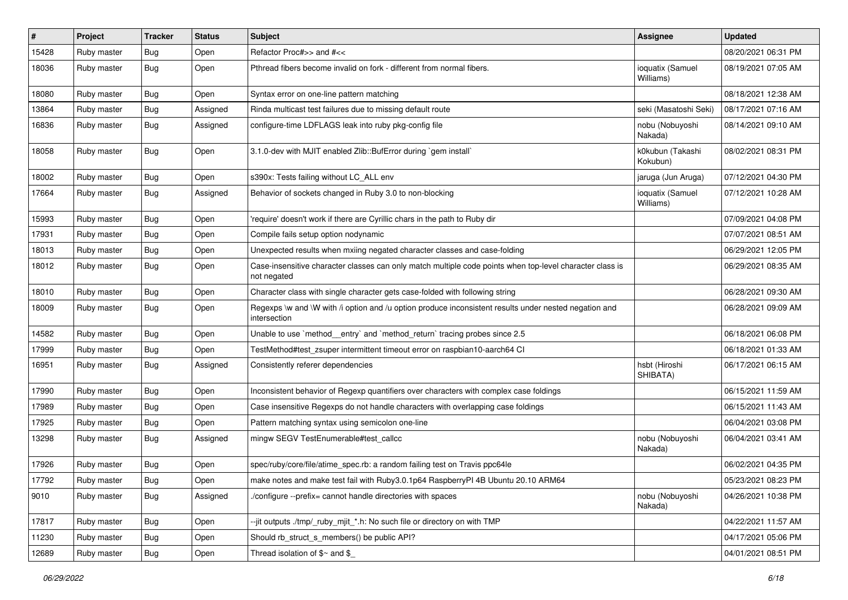| $\sharp$ | <b>Project</b> | <b>Tracker</b> | <b>Status</b> | <b>Subject</b>                                                                                                          | Assignee                      | <b>Updated</b>      |
|----------|----------------|----------------|---------------|-------------------------------------------------------------------------------------------------------------------------|-------------------------------|---------------------|
| 15428    | Ruby master    | Bug            | Open          | Refactor Proc#>> and #<<                                                                                                |                               | 08/20/2021 06:31 PM |
| 18036    | Ruby master    | Bug            | Open          | Pthread fibers become invalid on fork - different from normal fibers.                                                   | ioquatix (Samuel<br>Williams) | 08/19/2021 07:05 AM |
| 18080    | Ruby master    | Bug            | Open          | Syntax error on one-line pattern matching                                                                               |                               | 08/18/2021 12:38 AM |
| 13864    | Ruby master    | Bug            | Assigned      | Rinda multicast test failures due to missing default route                                                              | seki (Masatoshi Seki)         | 08/17/2021 07:16 AM |
| 16836    | Ruby master    | <b>Bug</b>     | Assigned      | configure-time LDFLAGS leak into ruby pkg-config file                                                                   | nobu (Nobuyoshi<br>Nakada)    | 08/14/2021 09:10 AM |
| 18058    | Ruby master    | Bug            | Open          | 3.1.0-dev with MJIT enabled Zlib::BufError during `gem install`                                                         | k0kubun (Takashi<br>Kokubun)  | 08/02/2021 08:31 PM |
| 18002    | Ruby master    | <b>Bug</b>     | Open          | s390x: Tests failing without LC_ALL env                                                                                 | jaruga (Jun Aruga)            | 07/12/2021 04:30 PM |
| 17664    | Ruby master    | Bug            | Assigned      | Behavior of sockets changed in Ruby 3.0 to non-blocking                                                                 | ioquatix (Samuel<br>Williams) | 07/12/2021 10:28 AM |
| 15993    | Ruby master    | <b>Bug</b>     | Open          | 'require' doesn't work if there are Cyrillic chars in the path to Ruby dir                                              |                               | 07/09/2021 04:08 PM |
| 17931    | Ruby master    | <b>Bug</b>     | Open          | Compile fails setup option nodynamic                                                                                    |                               | 07/07/2021 08:51 AM |
| 18013    | Ruby master    | Bug            | Open          | Unexpected results when mxiing negated character classes and case-folding                                               |                               | 06/29/2021 12:05 PM |
| 18012    | Ruby master    | Bug            | Open          | Case-insensitive character classes can only match multiple code points when top-level character class is<br>not negated |                               | 06/29/2021 08:35 AM |
| 18010    | Ruby master    | <b>Bug</b>     | Open          | Character class with single character gets case-folded with following string                                            |                               | 06/28/2021 09:30 AM |
| 18009    | Ruby master    | Bug            | Open          | Regexps \w and \W with /i option and /u option produce inconsistent results under nested negation and<br>intersection   |                               | 06/28/2021 09:09 AM |
| 14582    | Ruby master    | Bug            | Open          | Unable to use `method__entry` and `method_return` tracing probes since 2.5                                              |                               | 06/18/2021 06:08 PM |
| 17999    | Ruby master    | <b>Bug</b>     | Open          | TestMethod#test_zsuper intermittent timeout error on raspbian10-aarch64 Cl                                              |                               | 06/18/2021 01:33 AM |
| 16951    | Ruby master    | Bug            | Assigned      | Consistently referer dependencies                                                                                       | hsbt (Hiroshi<br>SHIBATA)     | 06/17/2021 06:15 AM |
| 17990    | Ruby master    | Bug            | Open          | Inconsistent behavior of Regexp quantifiers over characters with complex case foldings                                  |                               | 06/15/2021 11:59 AM |
| 17989    | Ruby master    | <b>Bug</b>     | Open          | Case insensitive Regexps do not handle characters with overlapping case foldings                                        |                               | 06/15/2021 11:43 AM |
| 17925    | Ruby master    | Bug            | Open          | Pattern matching syntax using semicolon one-line                                                                        |                               | 06/04/2021 03:08 PM |
| 13298    | Ruby master    | Bug            | Assigned      | mingw SEGV TestEnumerable#test_callcc                                                                                   | nobu (Nobuyoshi<br>Nakada)    | 06/04/2021 03:41 AM |
| 17926    | Ruby master    | Bug            | Open          | spec/ruby/core/file/atime_spec.rb: a random failing test on Travis ppc64le                                              |                               | 06/02/2021 04:35 PM |
| 17792    | Ruby master    | <b>Bug</b>     | Open          | make notes and make test fail with Ruby3.0.1p64 RaspberryPI 4B Ubuntu 20.10 ARM64                                       |                               | 05/23/2021 08:23 PM |
| 9010     | Ruby master    | Bug            | Assigned      | /configure --prefix= cannot handle directories with spaces                                                              | nobu (Nobuyoshi<br>Nakada)    | 04/26/2021 10:38 PM |
| 17817    | Ruby master    | <b>Bug</b>     | Open          | --jit outputs ./tmp/_ruby_mjit_*.h: No such file or directory on with TMP                                               |                               | 04/22/2021 11:57 AM |
| 11230    | Ruby master    | Bug            | Open          | Should rb_struct_s_members() be public API?                                                                             |                               | 04/17/2021 05:06 PM |
| 12689    | Ruby master    | Bug            | Open          | Thread isolation of $$~$ and $$$                                                                                        |                               | 04/01/2021 08:51 PM |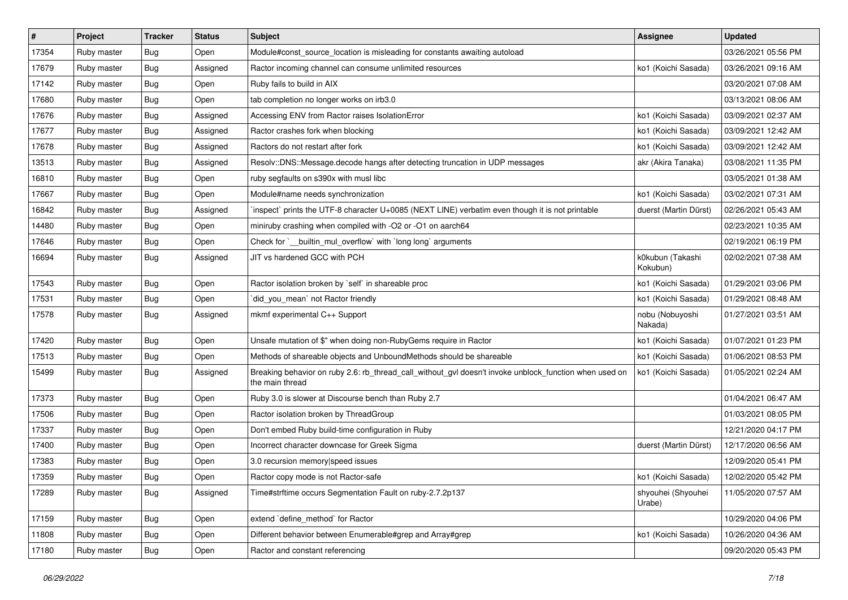| $\sharp$ | Project     | <b>Tracker</b> | <b>Status</b> | <b>Subject</b>                                                                                                            | Assignee                     | <b>Updated</b>      |
|----------|-------------|----------------|---------------|---------------------------------------------------------------------------------------------------------------------------|------------------------------|---------------------|
| 17354    | Ruby master | Bug            | Open          | Module#const_source_location is misleading for constants awaiting autoload                                                |                              | 03/26/2021 05:56 PM |
| 17679    | Ruby master | Bug            | Assigned      | Ractor incoming channel can consume unlimited resources                                                                   | ko1 (Koichi Sasada)          | 03/26/2021 09:16 AM |
| 17142    | Ruby master | Bug            | Open          | Ruby fails to build in AIX                                                                                                |                              | 03/20/2021 07:08 AM |
| 17680    | Ruby master | <b>Bug</b>     | Open          | tab completion no longer works on irb3.0                                                                                  |                              | 03/13/2021 08:06 AM |
| 17676    | Ruby master | Bug            | Assigned      | Accessing ENV from Ractor raises IsolationError                                                                           | ko1 (Koichi Sasada)          | 03/09/2021 02:37 AM |
| 17677    | Ruby master | <b>Bug</b>     | Assigned      | Ractor crashes fork when blocking                                                                                         | ko1 (Koichi Sasada)          | 03/09/2021 12:42 AM |
| 17678    | Ruby master | <b>Bug</b>     | Assigned      | Ractors do not restart after fork                                                                                         | ko1 (Koichi Sasada)          | 03/09/2021 12:42 AM |
| 13513    | Ruby master | <b>Bug</b>     | Assigned      | Resolv::DNS::Message.decode hangs after detecting truncation in UDP messages                                              | akr (Akira Tanaka)           | 03/08/2021 11:35 PM |
| 16810    | Ruby master | Bug            | Open          | ruby segfaults on s390x with musl libc                                                                                    |                              | 03/05/2021 01:38 AM |
| 17667    | Ruby master | Bug            | Open          | Module#name needs synchronization                                                                                         | ko1 (Koichi Sasada)          | 03/02/2021 07:31 AM |
| 16842    | Ruby master | Bug            | Assigned      | inspect` prints the UTF-8 character U+0085 (NEXT LINE) verbatim even though it is not printable                           | duerst (Martin Dürst)        | 02/26/2021 05:43 AM |
| 14480    | Ruby master | Bug            | Open          | miniruby crashing when compiled with -O2 or -O1 on aarch64                                                                |                              | 02/23/2021 10:35 AM |
| 17646    | Ruby master | <b>Bug</b>     | Open          | Check for `__builtin_mul_overflow` with `long long` arguments                                                             |                              | 02/19/2021 06:19 PM |
| 16694    | Ruby master | Bug            | Assigned      | JIT vs hardened GCC with PCH                                                                                              | k0kubun (Takashi<br>Kokubun) | 02/02/2021 07:38 AM |
| 17543    | Ruby master | Bug            | Open          | Ractor isolation broken by 'self' in shareable proc                                                                       | ko1 (Koichi Sasada)          | 01/29/2021 03:06 PM |
| 17531    | Ruby master | Bug            | Open          | did_you_mean` not Ractor friendly                                                                                         | ko1 (Koichi Sasada)          | 01/29/2021 08:48 AM |
| 17578    | Ruby master | <b>Bug</b>     | Assigned      | mkmf experimental C++ Support                                                                                             | nobu (Nobuyoshi<br>Nakada)   | 01/27/2021 03:51 AM |
| 17420    | Ruby master | Bug            | Open          | Unsafe mutation of \$" when doing non-RubyGems require in Ractor                                                          | ko1 (Koichi Sasada)          | 01/07/2021 01:23 PM |
| 17513    | Ruby master | <b>Bug</b>     | Open          | Methods of shareable objects and UnboundMethods should be shareable                                                       | ko1 (Koichi Sasada)          | 01/06/2021 08:53 PM |
| 15499    | Ruby master | Bug            | Assigned      | Breaking behavior on ruby 2.6: rb_thread_call_without_gvl doesn't invoke unblock_function when used on<br>the main thread | ko1 (Koichi Sasada)          | 01/05/2021 02:24 AM |
| 17373    | Ruby master | <b>Bug</b>     | Open          | Ruby 3.0 is slower at Discourse bench than Ruby 2.7                                                                       |                              | 01/04/2021 06:47 AM |
| 17506    | Ruby master | Bug            | Open          | Ractor isolation broken by ThreadGroup                                                                                    |                              | 01/03/2021 08:05 PM |
| 17337    | Ruby master | <b>Bug</b>     | Open          | Don't embed Ruby build-time configuration in Ruby                                                                         |                              | 12/21/2020 04:17 PM |
| 17400    | Ruby master | <b>Bug</b>     | Open          | Incorrect character downcase for Greek Sigma                                                                              | duerst (Martin Dürst)        | 12/17/2020 06:56 AM |
| 17383    | Ruby master | <b>Bug</b>     | Open          | 3.0 recursion memory speed issues                                                                                         |                              | 12/09/2020 05:41 PM |
| 17359    | Ruby master | Bug            | Open          | Ractor copy mode is not Ractor-safe                                                                                       | ko1 (Koichi Sasada)          | 12/02/2020 05:42 PM |
| 17289    | Ruby master | Bug            | Assigned      | Time#strftime occurs Segmentation Fault on ruby-2.7.2p137                                                                 | shyouhei (Shyouhei<br>Urabe) | 11/05/2020 07:57 AM |
| 17159    | Ruby master | Bug            | Open          | extend 'define_method' for Ractor                                                                                         |                              | 10/29/2020 04:06 PM |
| 11808    | Ruby master | <b>Bug</b>     | Open          | Different behavior between Enumerable#grep and Array#grep                                                                 | ko1 (Koichi Sasada)          | 10/26/2020 04:36 AM |
| 17180    | Ruby master | <b>Bug</b>     | Open          | Ractor and constant referencing                                                                                           |                              | 09/20/2020 05:43 PM |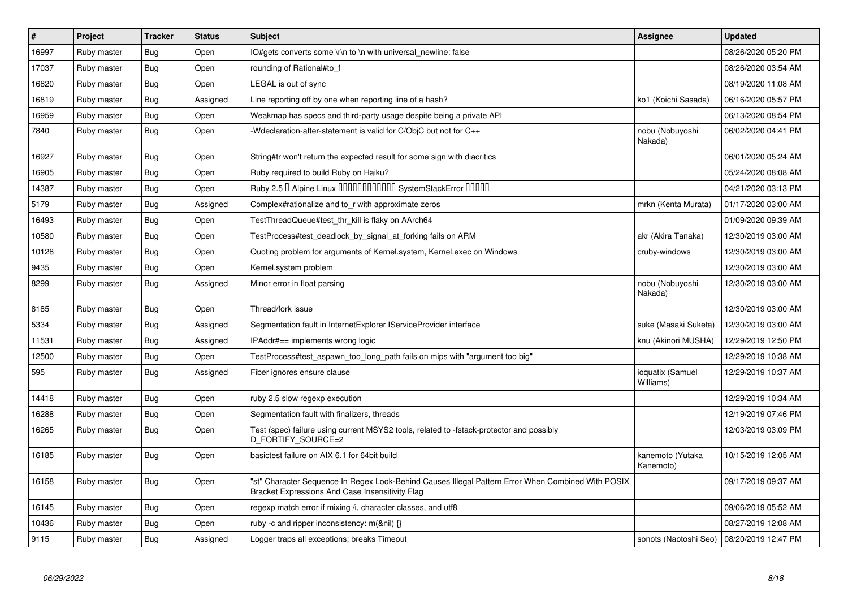| $\vert$ # | Project     | <b>Tracker</b> | <b>Status</b> | <b>Subject</b>                                                                                                                                        | Assignee                                    | <b>Updated</b>      |
|-----------|-------------|----------------|---------------|-------------------------------------------------------------------------------------------------------------------------------------------------------|---------------------------------------------|---------------------|
| 16997     | Ruby master | <b>Bug</b>     | Open          | IO#gets converts some \r\n to \n with universal newline: false                                                                                        |                                             | 08/26/2020 05:20 PM |
| 17037     | Ruby master | <b>Bug</b>     | Open          | rounding of Rational#to f                                                                                                                             |                                             | 08/26/2020 03:54 AM |
| 16820     | Ruby master | Bug            | Open          | LEGAL is out of sync                                                                                                                                  |                                             | 08/19/2020 11:08 AM |
| 16819     | Ruby master | <b>Bug</b>     | Assigned      | Line reporting off by one when reporting line of a hash?                                                                                              | ko1 (Koichi Sasada)                         | 06/16/2020 05:57 PM |
| 16959     | Ruby master | <b>Bug</b>     | Open          | Weakmap has specs and third-party usage despite being a private API                                                                                   |                                             | 06/13/2020 08:54 PM |
| 7840      | Ruby master | Bug            | Open          | -Wdeclaration-after-statement is valid for C/ObjC but not for C++                                                                                     | nobu (Nobuyoshi<br>Nakada)                  | 06/02/2020 04:41 PM |
| 16927     | Ruby master | <b>Bug</b>     | Open          | String#tr won't return the expected result for some sign with diacritics                                                                              |                                             | 06/01/2020 05:24 AM |
| 16905     | Ruby master | <b>Bug</b>     | Open          | Ruby required to build Ruby on Haiku?                                                                                                                 |                                             | 05/24/2020 08:08 AM |
| 14387     | Ruby master | <b>Bug</b>     | Open          | Ruby 2.5 <sup>D</sup> Alpine Linux 000000000000 SystemStackError 00000                                                                                |                                             | 04/21/2020 03:13 PM |
| 5179      | Ruby master | Bug            | Assigned      | Complex#rationalize and to r with approximate zeros                                                                                                   | mrkn (Kenta Murata)                         | 01/17/2020 03:00 AM |
| 16493     | Ruby master | <b>Bug</b>     | Open          | TestThreadQueue#test_thr_kill is flaky on AArch64                                                                                                     |                                             | 01/09/2020 09:39 AM |
| 10580     | Ruby master | Bug            | Open          | TestProcess#test_deadlock_by_signal_at_forking fails on ARM                                                                                           | akr (Akira Tanaka)                          | 12/30/2019 03:00 AM |
| 10128     | Ruby master | <b>Bug</b>     | Open          | Quoting problem for arguments of Kernel.system, Kernel.exec on Windows                                                                                | cruby-windows                               | 12/30/2019 03:00 AM |
| 9435      | Ruby master | <b>Bug</b>     | Open          | Kernel.system problem                                                                                                                                 |                                             | 12/30/2019 03:00 AM |
| 8299      | Ruby master | <b>Bug</b>     | Assigned      | Minor error in float parsing                                                                                                                          | nobu (Nobuyoshi<br>Nakada)                  | 12/30/2019 03:00 AM |
| 8185      | Ruby master | <b>Bug</b>     | Open          | Thread/fork issue                                                                                                                                     |                                             | 12/30/2019 03:00 AM |
| 5334      | Ruby master | <b>Bug</b>     | Assigned      | Segmentation fault in InternetExplorer IServiceProvider interface                                                                                     | suke (Masaki Suketa)                        | 12/30/2019 03:00 AM |
| 11531     | Ruby master | <b>Bug</b>     | Assigned      | IPAddr#== implements wrong logic                                                                                                                      | knu (Akinori MUSHA)                         | 12/29/2019 12:50 PM |
| 12500     | Ruby master | Bug            | Open          | TestProcess#test aspawn too long path fails on mips with "argument too big"                                                                           |                                             | 12/29/2019 10:38 AM |
| 595       | Ruby master | Bug            | Assigned      | Fiber ignores ensure clause                                                                                                                           | ioquatix (Samuel<br>Williams)               | 12/29/2019 10:37 AM |
| 14418     | Ruby master | Bug            | Open          | ruby 2.5 slow regexp execution                                                                                                                        |                                             | 12/29/2019 10:34 AM |
| 16288     | Ruby master | <b>Bug</b>     | Open          | Segmentation fault with finalizers, threads                                                                                                           |                                             | 12/19/2019 07:46 PM |
| 16265     | Ruby master | <b>Bug</b>     | Open          | Test (spec) failure using current MSYS2 tools, related to -fstack-protector and possibly<br>D FORTIFY SOURCE=2                                        |                                             | 12/03/2019 03:09 PM |
| 16185     | Ruby master | <b>Bug</b>     | Open          | basictest failure on AIX 6.1 for 64bit build                                                                                                          | kanemoto (Yutaka<br>Kanemoto)               | 10/15/2019 12:05 AM |
| 16158     | Ruby master | <b>Bug</b>     | Open          | "st" Character Sequence In Regex Look-Behind Causes Illegal Pattern Error When Combined With POSIX<br>Bracket Expressions And Case Insensitivity Flag |                                             | 09/17/2019 09:37 AM |
| 16145     | Ruby master | Bug            | Open          | regexp match error if mixing /i, character classes, and utf8                                                                                          |                                             | 09/06/2019 05:52 AM |
| 10436     | Ruby master | <b>Bug</b>     | Open          | ruby -c and ripper inconsistency: m(&nil) {}                                                                                                          |                                             | 08/27/2019 12:08 AM |
| 9115      | Ruby master | Bug            | Assigned      | Logger traps all exceptions; breaks Timeout                                                                                                           | sonots (Naotoshi Seo)   08/20/2019 12:47 PM |                     |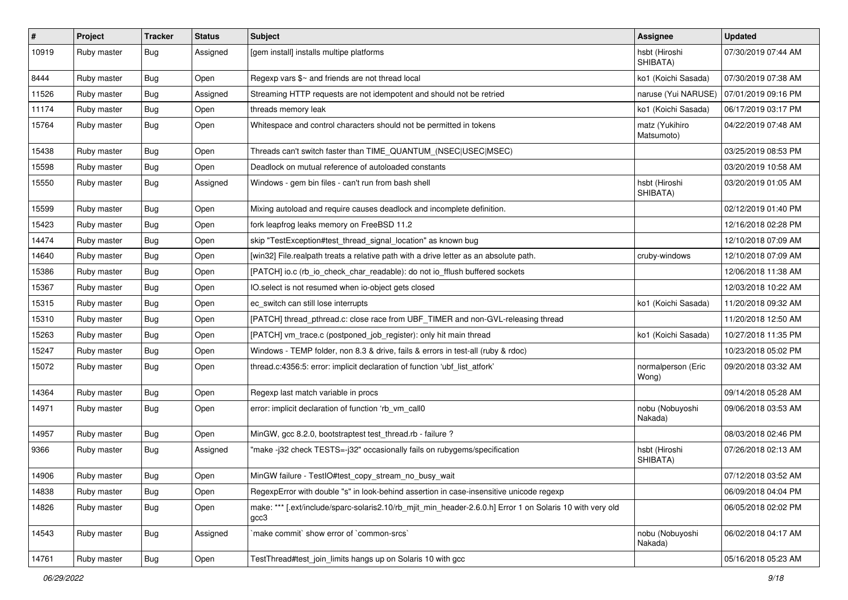| $\vert$ # | Project     | <b>Tracker</b> | <b>Status</b> | Subject                                                                                                           | <b>Assignee</b>              | <b>Updated</b>      |
|-----------|-------------|----------------|---------------|-------------------------------------------------------------------------------------------------------------------|------------------------------|---------------------|
| 10919     | Ruby master | Bug            | Assigned      | [gem install] installs multipe platforms                                                                          | hsbt (Hiroshi<br>SHIBATA)    | 07/30/2019 07:44 AM |
| 8444      | Ruby master | <b>Bug</b>     | Open          | Regexp vars $\frac{6}{5}$ and friends are not thread local                                                        | ko1 (Koichi Sasada)          | 07/30/2019 07:38 AM |
| 11526     | Ruby master | Bug            | Assigned      | Streaming HTTP requests are not idempotent and should not be retried                                              | naruse (Yui NARUSE)          | 07/01/2019 09:16 PM |
| 11174     | Ruby master | Bug            | Open          | threads memory leak                                                                                               | ko1 (Koichi Sasada)          | 06/17/2019 03:17 PM |
| 15764     | Ruby master | <b>Bug</b>     | Open          | Whitespace and control characters should not be permitted in tokens                                               | matz (Yukihiro<br>Matsumoto) | 04/22/2019 07:48 AM |
| 15438     | Ruby master | Bug            | Open          | Threads can't switch faster than TIME_QUANTUM_(NSEC USEC MSEC)                                                    |                              | 03/25/2019 08:53 PM |
| 15598     | Ruby master | Bug            | Open          | Deadlock on mutual reference of autoloaded constants                                                              |                              | 03/20/2019 10:58 AM |
| 15550     | Ruby master | <b>Bug</b>     | Assigned      | Windows - gem bin files - can't run from bash shell                                                               | hsbt (Hiroshi<br>SHIBATA)    | 03/20/2019 01:05 AM |
| 15599     | Ruby master | <b>Bug</b>     | Open          | Mixing autoload and require causes deadlock and incomplete definition.                                            |                              | 02/12/2019 01:40 PM |
| 15423     | Ruby master | <b>Bug</b>     | Open          | fork leapfrog leaks memory on FreeBSD 11.2                                                                        |                              | 12/16/2018 02:28 PM |
| 14474     | Ruby master | Bug            | Open          | skip "TestException#test_thread_signal_location" as known bug                                                     |                              | 12/10/2018 07:09 AM |
| 14640     | Ruby master | <b>Bug</b>     | Open          | [win32] File.realpath treats a relative path with a drive letter as an absolute path.                             | cruby-windows                | 12/10/2018 07:09 AM |
| 15386     | Ruby master | Bug            | Open          | [PATCH] io.c (rb_io_check_char_readable): do not io_fflush buffered sockets                                       |                              | 12/06/2018 11:38 AM |
| 15367     | Ruby master | <b>Bug</b>     | Open          | IO.select is not resumed when io-object gets closed                                                               |                              | 12/03/2018 10:22 AM |
| 15315     | Ruby master | Bug            | Open          | ec_switch can still lose interrupts                                                                               | ko1 (Koichi Sasada)          | 11/20/2018 09:32 AM |
| 15310     | Ruby master | Bug            | Open          | [PATCH] thread_pthread.c: close race from UBF_TIMER and non-GVL-releasing thread                                  |                              | 11/20/2018 12:50 AM |
| 15263     | Ruby master | <b>Bug</b>     | Open          | [PATCH] vm_trace.c (postponed_job_register): only hit main thread                                                 | ko1 (Koichi Sasada)          | 10/27/2018 11:35 PM |
| 15247     | Ruby master | Bug            | Open          | Windows - TEMP folder, non 8.3 & drive, fails & errors in test-all (ruby & rdoc)                                  |                              | 10/23/2018 05:02 PM |
| 15072     | Ruby master | Bug            | Open          | thread.c:4356:5: error: implicit declaration of function 'ubf_list_atfork'                                        | normalperson (Eric<br>Wong)  | 09/20/2018 03:32 AM |
| 14364     | Ruby master | <b>Bug</b>     | Open          | Regexp last match variable in procs                                                                               |                              | 09/14/2018 05:28 AM |
| 14971     | Ruby master | Bug            | Open          | error: implicit declaration of function 'rb_vm_call0                                                              | nobu (Nobuyoshi<br>Nakada)   | 09/06/2018 03:53 AM |
| 14957     | Ruby master | Bug            | Open          | MinGW, acc 8.2.0, bootstraptest test thread.rb - failure?                                                         |                              | 08/03/2018 02:46 PM |
| 9366      | Ruby master | Bug            | Assigned      | "make -j32 check TESTS=-j32" occasionally fails on rubygems/specification                                         | hsbt (Hiroshi<br>SHIBATA)    | 07/26/2018 02:13 AM |
| 14906     | Ruby master | Bug            | Open          | MinGW failure - TestlO#test_copy_stream_no_busy_wait                                                              |                              | 07/12/2018 03:52 AM |
| 14838     | Ruby master | Bug            | Open          | RegexpError with double "s" in look-behind assertion in case-insensitive unicode regexp                           |                              | 06/09/2018 04:04 PM |
| 14826     | Ruby master | <b>Bug</b>     | Open          | make: *** [.ext/include/sparc-solaris2.10/rb mjit min header-2.6.0.h] Error 1 on Solaris 10 with very old<br>gcc3 |                              | 06/05/2018 02:02 PM |
| 14543     | Ruby master | <b>Bug</b>     | Assigned      | 'make commit' show error of 'common-srcs'                                                                         | nobu (Nobuyoshi<br>Nakada)   | 06/02/2018 04:17 AM |
| 14761     | Ruby master | <b>Bug</b>     | Open          | TestThread#test_join_limits hangs up on Solaris 10 with gcc                                                       |                              | 05/16/2018 05:23 AM |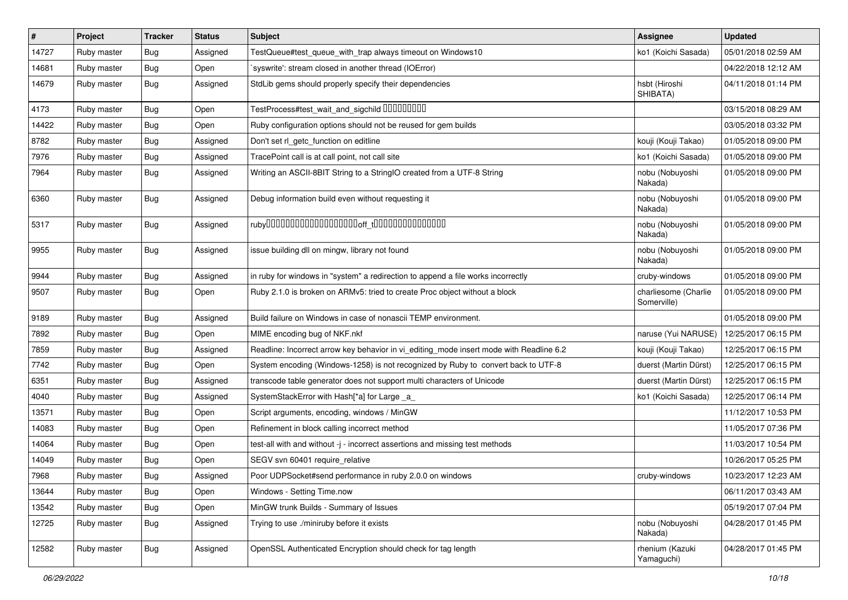| $\vert$ # | Project     | <b>Tracker</b> | <b>Status</b> | Subject                                                                                 | <b>Assignee</b>                     | <b>Updated</b>      |
|-----------|-------------|----------------|---------------|-----------------------------------------------------------------------------------------|-------------------------------------|---------------------|
| 14727     | Ruby master | Bug            | Assigned      | TestQueue#test_queue_with_trap always timeout on Windows10                              | ko1 (Koichi Sasada)                 | 05/01/2018 02:59 AM |
| 14681     | Ruby master | <b>Bug</b>     | Open          | 'syswrite': stream closed in another thread (IOError)                                   |                                     | 04/22/2018 12:12 AM |
| 14679     | Ruby master | Bug            | Assigned      | StdLib gems should properly specify their dependencies                                  | hsbt (Hiroshi<br>SHIBATA)           | 04/11/2018 01:14 PM |
| 4173      | Ruby master | Bug            | Open          | TestProcess#test_wait_and_sigchild 00000000                                             |                                     | 03/15/2018 08:29 AM |
| 14422     | Ruby master | Bug            | Open          | Ruby configuration options should not be reused for gem builds                          |                                     | 03/05/2018 03:32 PM |
| 8782      | Ruby master | <b>Bug</b>     | Assigned      | Don't set rl_getc_function on editline                                                  | kouji (Kouji Takao)                 | 01/05/2018 09:00 PM |
| 7976      | Ruby master | <b>Bug</b>     | Assigned      | TracePoint call is at call point, not call site                                         | ko1 (Koichi Sasada)                 | 01/05/2018 09:00 PM |
| 7964      | Ruby master | Bug            | Assigned      | Writing an ASCII-8BIT String to a StringIO created from a UTF-8 String                  | nobu (Nobuyoshi<br>Nakada)          | 01/05/2018 09:00 PM |
| 6360      | Ruby master | Bug            | Assigned      | Debug information build even without requesting it                                      | nobu (Nobuyoshi<br>Nakada)          | 01/05/2018 09:00 PM |
| 5317      | Ruby master | <b>Bug</b>     | Assigned      |                                                                                         | nobu (Nobuyoshi<br>Nakada)          | 01/05/2018 09:00 PM |
| 9955      | Ruby master | Bug            | Assigned      | issue building dll on mingw, library not found                                          | nobu (Nobuyoshi<br>Nakada)          | 01/05/2018 09:00 PM |
| 9944      | Ruby master | Bug            | Assigned      | in ruby for windows in "system" a redirection to append a file works incorrectly        | cruby-windows                       | 01/05/2018 09:00 PM |
| 9507      | Ruby master | Bug            | Open          | Ruby 2.1.0 is broken on ARMv5: tried to create Proc object without a block              | charliesome (Charlie<br>Somerville) | 01/05/2018 09:00 PM |
| 9189      | Ruby master | Bug            | Assigned      | Build failure on Windows in case of nonascii TEMP environment.                          |                                     | 01/05/2018 09:00 PM |
| 7892      | Ruby master | <b>Bug</b>     | Open          | MIME encoding bug of NKF.nkf                                                            | naruse (Yui NARUSE)                 | 12/25/2017 06:15 PM |
| 7859      | Ruby master | Bug            | Assigned      | Readline: Incorrect arrow key behavior in vi_editing_mode insert mode with Readline 6.2 | kouji (Kouji Takao)                 | 12/25/2017 06:15 PM |
| 7742      | Ruby master | <b>Bug</b>     | Open          | System encoding (Windows-1258) is not recognized by Ruby to convert back to UTF-8       | duerst (Martin Dürst)               | 12/25/2017 06:15 PM |
| 6351      | Ruby master | Bug            | Assigned      | transcode table generator does not support multi characters of Unicode                  | duerst (Martin Dürst)               | 12/25/2017 06:15 PM |
| 4040      | Ruby master | <b>Bug</b>     | Assigned      | SystemStackError with Hash[*a] for Large _a_                                            | ko1 (Koichi Sasada)                 | 12/25/2017 06:14 PM |
| 13571     | Ruby master | <b>Bug</b>     | Open          | Script arguments, encoding, windows / MinGW                                             |                                     | 11/12/2017 10:53 PM |
| 14083     | Ruby master | <b>Bug</b>     | Open          | Refinement in block calling incorrect method                                            |                                     | 11/05/2017 07:36 PM |
| 14064     | Ruby master | Bug            | Open          | test-all with and without -j - incorrect assertions and missing test methods            |                                     | 11/03/2017 10:54 PM |
| 14049     | Ruby master | <b>Bug</b>     | Open          | SEGV svn 60401 require_relative                                                         |                                     | 10/26/2017 05:25 PM |
| 7968      | Ruby master | Bug            | Assigned      | Poor UDPSocket#send performance in ruby 2.0.0 on windows                                | cruby-windows                       | 10/23/2017 12:23 AM |
| 13644     | Ruby master | <b>Bug</b>     | Open          | Windows - Setting Time.now                                                              |                                     | 06/11/2017 03:43 AM |
| 13542     | Ruby master | <b>Bug</b>     | Open          | MinGW trunk Builds - Summary of Issues                                                  |                                     | 05/19/2017 07:04 PM |
| 12725     | Ruby master | <b>Bug</b>     | Assigned      | Trying to use ./miniruby before it exists                                               | nobu (Nobuyoshi<br>Nakada)          | 04/28/2017 01:45 PM |
| 12582     | Ruby master | <b>Bug</b>     | Assigned      | OpenSSL Authenticated Encryption should check for tag length                            | rhenium (Kazuki<br>Yamaguchi)       | 04/28/2017 01:45 PM |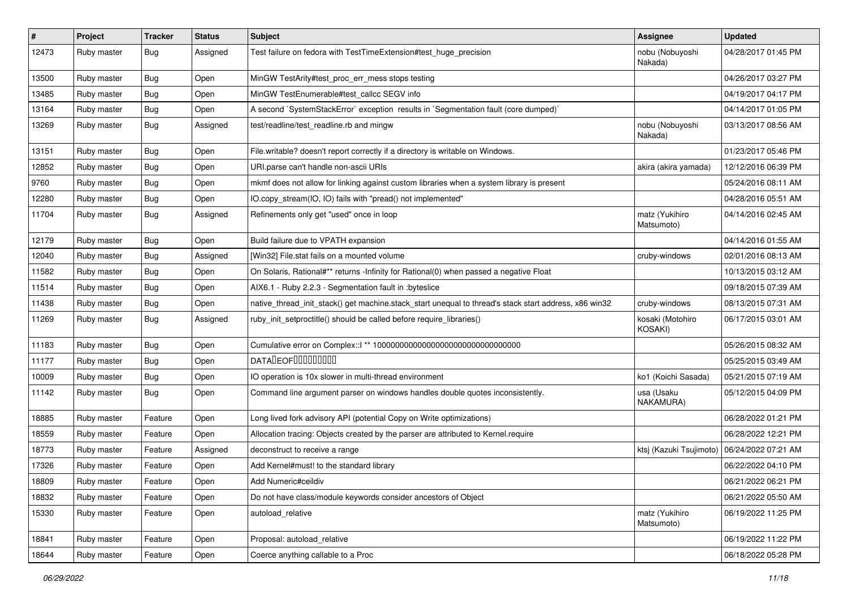| $\vert$ # | Project     | <b>Tracker</b> | <b>Status</b> | <b>Subject</b>                                                                                        | Assignee                                      | <b>Updated</b>      |
|-----------|-------------|----------------|---------------|-------------------------------------------------------------------------------------------------------|-----------------------------------------------|---------------------|
| 12473     | Ruby master | Bug            | Assigned      | Test failure on fedora with TestTimeExtension#test_huge_precision                                     | nobu (Nobuyoshi<br>Nakada)                    | 04/28/2017 01:45 PM |
| 13500     | Ruby master | <b>Bug</b>     | Open          | MinGW TestArity#test_proc_err_mess stops testing                                                      |                                               | 04/26/2017 03:27 PM |
| 13485     | Ruby master | Bug            | Open          | MinGW TestEnumerable#test_callcc SEGV info                                                            |                                               | 04/19/2017 04:17 PM |
| 13164     | Ruby master | <b>Bug</b>     | Open          | A second `SystemStackError` exception results in `Segmentation fault (core dumped)`                   |                                               | 04/14/2017 01:05 PM |
| 13269     | Ruby master | <b>Bug</b>     | Assigned      | test/readline/test_readline.rb and mingw                                                              | nobu (Nobuyoshi<br>Nakada)                    | 03/13/2017 08:56 AM |
| 13151     | Ruby master | <b>Bug</b>     | Open          | File.writable? doesn't report correctly if a directory is writable on Windows.                        |                                               | 01/23/2017 05:46 PM |
| 12852     | Ruby master | <b>Bug</b>     | Open          | URI.parse can't handle non-ascii URIs                                                                 | akira (akira yamada)                          | 12/12/2016 06:39 PM |
| 9760      | Ruby master | <b>Bug</b>     | Open          | mkmf does not allow for linking against custom libraries when a system library is present             |                                               | 05/24/2016 08:11 AM |
| 12280     | Ruby master | <b>Bug</b>     | Open          | IO.copy_stream(IO, IO) fails with "pread() not implemented"                                           |                                               | 04/28/2016 05:51 AM |
| 11704     | Ruby master | <b>Bug</b>     | Assigned      | Refinements only get "used" once in loop                                                              | matz (Yukihiro<br>Matsumoto)                  | 04/14/2016 02:45 AM |
| 12179     | Ruby master | <b>Bug</b>     | Open          | Build failure due to VPATH expansion                                                                  |                                               | 04/14/2016 01:55 AM |
| 12040     | Ruby master | <b>Bug</b>     | Assigned      | [Win32] File.stat fails on a mounted volume                                                           | cruby-windows                                 | 02/01/2016 08:13 AM |
| 11582     | Ruby master | <b>Bug</b>     | Open          | On Solaris, Rational#** returns -Infinity for Rational(0) when passed a negative Float                |                                               | 10/13/2015 03:12 AM |
| 11514     | Ruby master | Bug            | Open          | AIX6.1 - Ruby 2.2.3 - Segmentation fault in : byteslice                                               |                                               | 09/18/2015 07:39 AM |
| 11438     | Ruby master | <b>Bug</b>     | Open          | native_thread_init_stack() get machine.stack_start unequal to thread's stack start address, x86 win32 | cruby-windows                                 | 08/13/2015 07:31 AM |
| 11269     | Ruby master | <b>Bug</b>     | Assigned      | ruby_init_setproctitle() should be called before require_libraries()                                  | kosaki (Motohiro<br>KOSAKI)                   | 06/17/2015 03:01 AM |
| 11183     | Ruby master | <b>Bug</b>     | Open          |                                                                                                       |                                               | 05/26/2015 08:32 AM |
| 11177     | Ruby master | <b>Bug</b>     | Open          | DATADEOF00000000                                                                                      |                                               | 05/25/2015 03:49 AM |
| 10009     | Ruby master | <b>Bug</b>     | Open          | IO operation is 10x slower in multi-thread environment                                                | ko1 (Koichi Sasada)                           | 05/21/2015 07:19 AM |
| 11142     | Ruby master | <b>Bug</b>     | Open          | Command line argument parser on windows handles double quotes inconsistently.                         | usa (Usaku<br>NAKAMURA)                       | 05/12/2015 04:09 PM |
| 18885     | Ruby master | Feature        | Open          | Long lived fork advisory API (potential Copy on Write optimizations)                                  |                                               | 06/28/2022 01:21 PM |
| 18559     | Ruby master | Feature        | Open          | Allocation tracing: Objects created by the parser are attributed to Kernel.require                    |                                               | 06/28/2022 12:21 PM |
| 18773     | Ruby master | Feature        | Assigned      | deconstruct to receive a range                                                                        | ktsj (Kazuki Tsujimoto)   06/24/2022 07:21 AM |                     |
| 17326     | Ruby master | Feature        | Open          | Add Kernel#must! to the standard library                                                              |                                               | 06/22/2022 04:10 PM |
| 18809     | Ruby master | Feature        | Open          | Add Numeric#ceildiv                                                                                   |                                               | 06/21/2022 06:21 PM |
| 18832     | Ruby master | Feature        | Open          | Do not have class/module keywords consider ancestors of Object                                        |                                               | 06/21/2022 05:50 AM |
| 15330     | Ruby master | Feature        | Open          | autoload_relative                                                                                     | matz (Yukihiro<br>Matsumoto)                  | 06/19/2022 11:25 PM |
| 18841     | Ruby master | Feature        | Open          | Proposal: autoload_relative                                                                           |                                               | 06/19/2022 11:22 PM |
| 18644     | Ruby master | Feature        | Open          | Coerce anything callable to a Proc                                                                    |                                               | 06/18/2022 05:28 PM |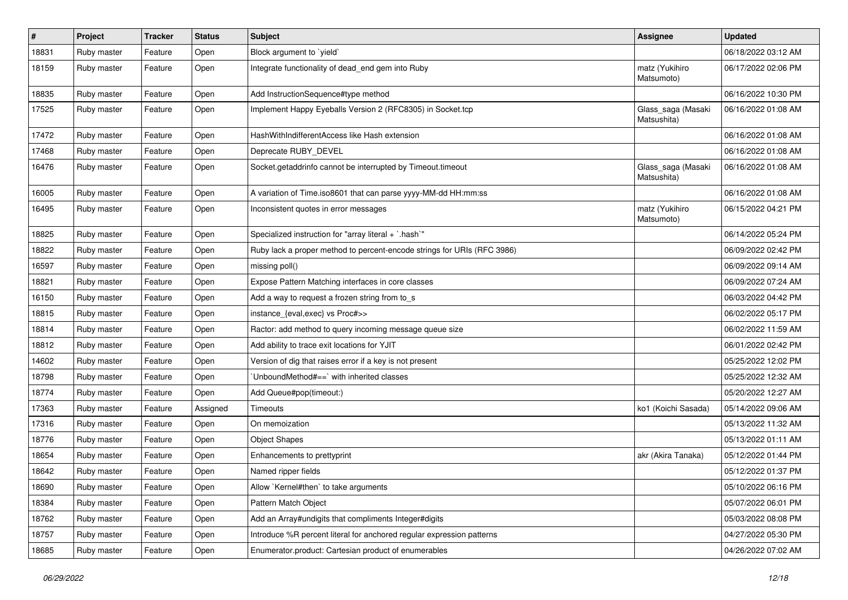| $\vert$ # | Project     | <b>Tracker</b> | <b>Status</b> | Subject                                                                 | <b>Assignee</b>                   | <b>Updated</b>      |
|-----------|-------------|----------------|---------------|-------------------------------------------------------------------------|-----------------------------------|---------------------|
| 18831     | Ruby master | Feature        | Open          | Block argument to 'yield'                                               |                                   | 06/18/2022 03:12 AM |
| 18159     | Ruby master | Feature        | Open          | Integrate functionality of dead_end gem into Ruby                       | matz (Yukihiro<br>Matsumoto)      | 06/17/2022 02:06 PM |
| 18835     | Ruby master | Feature        | Open          | Add InstructionSequence#type method                                     |                                   | 06/16/2022 10:30 PM |
| 17525     | Ruby master | Feature        | Open          | Implement Happy Eyeballs Version 2 (RFC8305) in Socket.tcp              | Glass_saga (Masaki<br>Matsushita) | 06/16/2022 01:08 AM |
| 17472     | Ruby master | Feature        | Open          | HashWithIndifferentAccess like Hash extension                           |                                   | 06/16/2022 01:08 AM |
| 17468     | Ruby master | Feature        | Open          | Deprecate RUBY_DEVEL                                                    |                                   | 06/16/2022 01:08 AM |
| 16476     | Ruby master | Feature        | Open          | Socket.getaddrinfo cannot be interrupted by Timeout.timeout             | Glass_saga (Masaki<br>Matsushita) | 06/16/2022 01:08 AM |
| 16005     | Ruby master | Feature        | Open          | A variation of Time.iso8601 that can parse yyyy-MM-dd HH:mm:ss          |                                   | 06/16/2022 01:08 AM |
| 16495     | Ruby master | Feature        | Open          | Inconsistent quotes in error messages                                   | matz (Yukihiro<br>Matsumoto)      | 06/15/2022 04:21 PM |
| 18825     | Ruby master | Feature        | Open          | Specialized instruction for "array literal + `.hash`"                   |                                   | 06/14/2022 05:24 PM |
| 18822     | Ruby master | Feature        | Open          | Ruby lack a proper method to percent-encode strings for URIs (RFC 3986) |                                   | 06/09/2022 02:42 PM |
| 16597     | Ruby master | Feature        | Open          | missing poll()                                                          |                                   | 06/09/2022 09:14 AM |
| 18821     | Ruby master | Feature        | Open          | Expose Pattern Matching interfaces in core classes                      |                                   | 06/09/2022 07:24 AM |
| 16150     | Ruby master | Feature        | Open          | Add a way to request a frozen string from to_s                          |                                   | 06/03/2022 04:42 PM |
| 18815     | Ruby master | Feature        | Open          | instance_{eval,exec} vs Proc#>>                                         |                                   | 06/02/2022 05:17 PM |
| 18814     | Ruby master | Feature        | Open          | Ractor: add method to query incoming message queue size                 |                                   | 06/02/2022 11:59 AM |
| 18812     | Ruby master | Feature        | Open          | Add ability to trace exit locations for YJIT                            |                                   | 06/01/2022 02:42 PM |
| 14602     | Ruby master | Feature        | Open          | Version of dig that raises error if a key is not present                |                                   | 05/25/2022 12:02 PM |
| 18798     | Ruby master | Feature        | Open          | 'UnboundMethod#==' with inherited classes                               |                                   | 05/25/2022 12:32 AM |
| 18774     | Ruby master | Feature        | Open          | Add Queue#pop(timeout:)                                                 |                                   | 05/20/2022 12:27 AM |
| 17363     | Ruby master | Feature        | Assigned      | Timeouts                                                                | ko1 (Koichi Sasada)               | 05/14/2022 09:06 AM |
| 17316     | Ruby master | Feature        | Open          | On memoization                                                          |                                   | 05/13/2022 11:32 AM |
| 18776     | Ruby master | Feature        | Open          | <b>Object Shapes</b>                                                    |                                   | 05/13/2022 01:11 AM |
| 18654     | Ruby master | Feature        | Open          | Enhancements to prettyprint                                             | akr (Akira Tanaka)                | 05/12/2022 01:44 PM |
| 18642     | Ruby master | Feature        | Open          | Named ripper fields                                                     |                                   | 05/12/2022 01:37 PM |
| 18690     | Ruby master | Feature        | Open          | Allow `Kernel#then` to take arguments                                   |                                   | 05/10/2022 06:16 PM |
| 18384     | Ruby master | Feature        | Open          | Pattern Match Object                                                    |                                   | 05/07/2022 06:01 PM |
| 18762     | Ruby master | Feature        | Open          | Add an Array#undigits that compliments Integer#digits                   |                                   | 05/03/2022 08:08 PM |
| 18757     | Ruby master | Feature        | Open          | Introduce %R percent literal for anchored regular expression patterns   |                                   | 04/27/2022 05:30 PM |
| 18685     | Ruby master | Feature        | Open          | Enumerator.product: Cartesian product of enumerables                    |                                   | 04/26/2022 07:02 AM |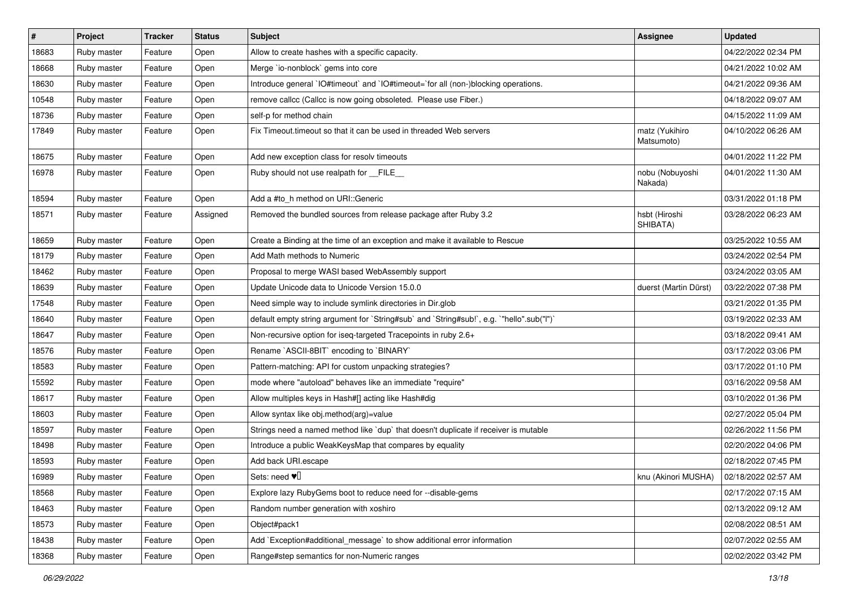| $\sharp$ | Project     | <b>Tracker</b> | <b>Status</b> | Subject                                                                                   | <b>Assignee</b>              | <b>Updated</b>      |
|----------|-------------|----------------|---------------|-------------------------------------------------------------------------------------------|------------------------------|---------------------|
| 18683    | Ruby master | Feature        | Open          | Allow to create hashes with a specific capacity.                                          |                              | 04/22/2022 02:34 PM |
| 18668    | Ruby master | Feature        | Open          | Merge `io-nonblock` gems into core                                                        |                              | 04/21/2022 10:02 AM |
| 18630    | Ruby master | Feature        | Open          | Introduce general `IO#timeout` and `IO#timeout=`for all (non-)blocking operations.        |                              | 04/21/2022 09:36 AM |
| 10548    | Ruby master | Feature        | Open          | remove callcc (Callcc is now going obsoleted. Please use Fiber.)                          |                              | 04/18/2022 09:07 AM |
| 18736    | Ruby master | Feature        | Open          | self-p for method chain                                                                   |                              | 04/15/2022 11:09 AM |
| 17849    | Ruby master | Feature        | Open          | Fix Timeout timeout so that it can be used in threaded Web servers                        | matz (Yukihiro<br>Matsumoto) | 04/10/2022 06:26 AM |
| 18675    | Ruby master | Feature        | Open          | Add new exception class for resolv timeouts                                               |                              | 04/01/2022 11:22 PM |
| 16978    | Ruby master | Feature        | Open          | Ruby should not use realpath for __FILE__                                                 | nobu (Nobuyoshi<br>Nakada)   | 04/01/2022 11:30 AM |
| 18594    | Ruby master | Feature        | Open          | Add a #to_h method on URI::Generic                                                        |                              | 03/31/2022 01:18 PM |
| 18571    | Ruby master | Feature        | Assigned      | Removed the bundled sources from release package after Ruby 3.2                           | hsbt (Hiroshi<br>SHIBATA)    | 03/28/2022 06:23 AM |
| 18659    | Ruby master | Feature        | Open          | Create a Binding at the time of an exception and make it available to Rescue              |                              | 03/25/2022 10:55 AM |
| 18179    | Ruby master | Feature        | Open          | Add Math methods to Numeric                                                               |                              | 03/24/2022 02:54 PM |
| 18462    | Ruby master | Feature        | Open          | Proposal to merge WASI based WebAssembly support                                          |                              | 03/24/2022 03:05 AM |
| 18639    | Ruby master | Feature        | Open          | Update Unicode data to Unicode Version 15.0.0                                             | duerst (Martin Dürst)        | 03/22/2022 07:38 PM |
| 17548    | Ruby master | Feature        | Open          | Need simple way to include symlink directories in Dir.glob                                |                              | 03/21/2022 01:35 PM |
| 18640    | Ruby master | Feature        | Open          | default empty string argument for `String#sub` and `String#sub!`, e.g. `"hello".sub("I")` |                              | 03/19/2022 02:33 AM |
| 18647    | Ruby master | Feature        | Open          | Non-recursive option for iseq-targeted Tracepoints in ruby 2.6+                           |                              | 03/18/2022 09:41 AM |
| 18576    | Ruby master | Feature        | Open          | Rename `ASCII-8BIT` encoding to `BINARY`                                                  |                              | 03/17/2022 03:06 PM |
| 18583    | Ruby master | Feature        | Open          | Pattern-matching: API for custom unpacking strategies?                                    |                              | 03/17/2022 01:10 PM |
| 15592    | Ruby master | Feature        | Open          | mode where "autoload" behaves like an immediate "require"                                 |                              | 03/16/2022 09:58 AM |
| 18617    | Ruby master | Feature        | Open          | Allow multiples keys in Hash#[] acting like Hash#dig                                      |                              | 03/10/2022 01:36 PM |
| 18603    | Ruby master | Feature        | Open          | Allow syntax like obj.method(arg)=value                                                   |                              | 02/27/2022 05:04 PM |
| 18597    | Ruby master | Feature        | Open          | Strings need a named method like 'dup' that doesn't duplicate if receiver is mutable      |                              | 02/26/2022 11:56 PM |
| 18498    | Ruby master | Feature        | Open          | Introduce a public WeakKeysMap that compares by equality                                  |                              | 02/20/2022 04:06 PM |
| 18593    | Ruby master | Feature        | Open          | Add back URI.escape                                                                       |                              | 02/18/2022 07:45 PM |
| 16989    | Ruby master | Feature        | Open          | Sets: need $\Psi$                                                                         | knu (Akinori MUSHA)          | 02/18/2022 02:57 AM |
| 18568    | Ruby master | Feature        | Open          | Explore lazy RubyGems boot to reduce need for --disable-gems                              |                              | 02/17/2022 07:15 AM |
| 18463    | Ruby master | Feature        | Open          | Random number generation with xoshiro                                                     |                              | 02/13/2022 09:12 AM |
| 18573    | Ruby master | Feature        | Open          | Object#pack1                                                                              |                              | 02/08/2022 08:51 AM |
| 18438    | Ruby master | Feature        | Open          | Add `Exception#additional_message` to show additional error information                   |                              | 02/07/2022 02:55 AM |
| 18368    | Ruby master | Feature        | Open          | Range#step semantics for non-Numeric ranges                                               |                              | 02/02/2022 03:42 PM |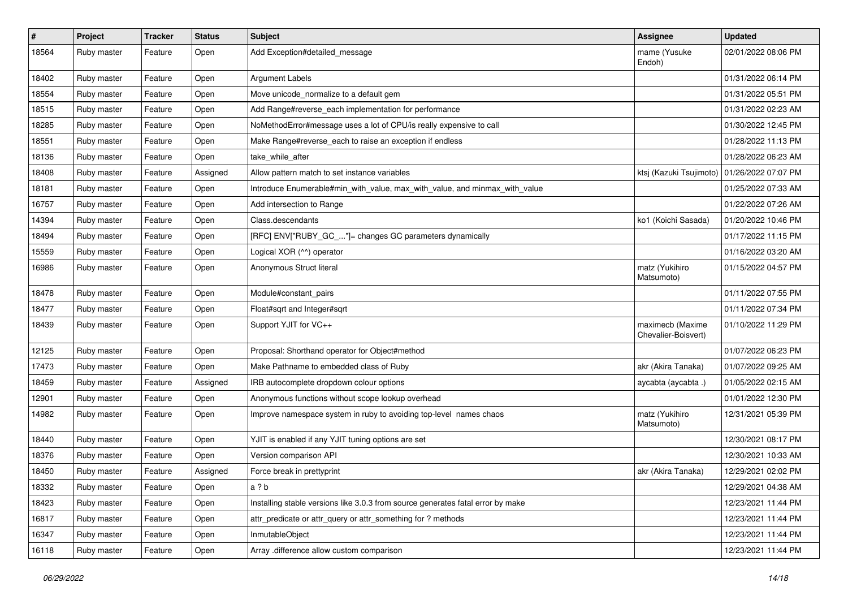| $\sharp$ | Project     | <b>Tracker</b> | <b>Status</b> | Subject                                                                         | <b>Assignee</b>                               | <b>Updated</b>      |
|----------|-------------|----------------|---------------|---------------------------------------------------------------------------------|-----------------------------------------------|---------------------|
| 18564    | Ruby master | Feature        | Open          | Add Exception#detailed_message                                                  | mame (Yusuke<br>Endoh)                        | 02/01/2022 08:06 PM |
| 18402    | Ruby master | Feature        | Open          | Argument Labels                                                                 |                                               | 01/31/2022 06:14 PM |
| 18554    | Ruby master | Feature        | Open          | Move unicode_normalize to a default gem                                         |                                               | 01/31/2022 05:51 PM |
| 18515    | Ruby master | Feature        | Open          | Add Range#reverse_each implementation for performance                           |                                               | 01/31/2022 02:23 AM |
| 18285    | Ruby master | Feature        | Open          | NoMethodError#message uses a lot of CPU/is really expensive to call             |                                               | 01/30/2022 12:45 PM |
| 18551    | Ruby master | Feature        | Open          | Make Range#reverse_each to raise an exception if endless                        |                                               | 01/28/2022 11:13 PM |
| 18136    | Ruby master | Feature        | Open          | take while after                                                                |                                               | 01/28/2022 06:23 AM |
| 18408    | Ruby master | Feature        | Assigned      | Allow pattern match to set instance variables                                   | ktsj (Kazuki Tsujimoto)   01/26/2022 07:07 PM |                     |
| 18181    | Ruby master | Feature        | Open          | Introduce Enumerable#min_with_value, max_with_value, and minmax_with_value      |                                               | 01/25/2022 07:33 AM |
| 16757    | Ruby master | Feature        | Open          | Add intersection to Range                                                       |                                               | 01/22/2022 07:26 AM |
| 14394    | Ruby master | Feature        | Open          | Class.descendants                                                               | ko1 (Koichi Sasada)                           | 01/20/2022 10:46 PM |
| 18494    | Ruby master | Feature        | Open          | [RFC] ENV["RUBY_GC_"]= changes GC parameters dynamically                        |                                               | 01/17/2022 11:15 PM |
| 15559    | Ruby master | Feature        | Open          | Logical XOR (^^) operator                                                       |                                               | 01/16/2022 03:20 AM |
| 16986    | Ruby master | Feature        | Open          | Anonymous Struct literal                                                        | matz (Yukihiro<br>Matsumoto)                  | 01/15/2022 04:57 PM |
| 18478    | Ruby master | Feature        | Open          | Module#constant pairs                                                           |                                               | 01/11/2022 07:55 PM |
| 18477    | Ruby master | Feature        | Open          | Float#sqrt and Integer#sqrt                                                     |                                               | 01/11/2022 07:34 PM |
| 18439    | Ruby master | Feature        | Open          | Support YJIT for VC++                                                           | maximecb (Maxime<br>Chevalier-Boisvert)       | 01/10/2022 11:29 PM |
| 12125    | Ruby master | Feature        | Open          | Proposal: Shorthand operator for Object#method                                  |                                               | 01/07/2022 06:23 PM |
| 17473    | Ruby master | Feature        | Open          | Make Pathname to embedded class of Ruby                                         | akr (Akira Tanaka)                            | 01/07/2022 09:25 AM |
| 18459    | Ruby master | Feature        | Assigned      | IRB autocomplete dropdown colour options                                        | aycabta (aycabta.)                            | 01/05/2022 02:15 AM |
| 12901    | Ruby master | Feature        | Open          | Anonymous functions without scope lookup overhead                               |                                               | 01/01/2022 12:30 PM |
| 14982    | Ruby master | Feature        | Open          | Improve namespace system in ruby to avoiding top-level names chaos              | matz (Yukihiro<br>Matsumoto)                  | 12/31/2021 05:39 PM |
| 18440    | Ruby master | Feature        | Open          | YJIT is enabled if any YJIT tuning options are set                              |                                               | 12/30/2021 08:17 PM |
| 18376    | Ruby master | Feature        | Open          | Version comparison API                                                          |                                               | 12/30/2021 10:33 AM |
| 18450    | Ruby master | Feature        | Assigned      | Force break in prettyprint                                                      | akr (Akira Tanaka)                            | 12/29/2021 02:02 PM |
| 18332    | Ruby master | Feature        | Open          | a ? b                                                                           |                                               | 12/29/2021 04:38 AM |
| 18423    | Ruby master | Feature        | Open          | Installing stable versions like 3.0.3 from source generates fatal error by make |                                               | 12/23/2021 11:44 PM |
| 16817    | Ruby master | Feature        | Open          | attr_predicate or attr_query or attr_something for ? methods                    |                                               | 12/23/2021 11:44 PM |
| 16347    | Ruby master | Feature        | Open          | InmutableObject                                                                 |                                               | 12/23/2021 11:44 PM |
| 16118    | Ruby master | Feature        | Open          | Array .difference allow custom comparison                                       |                                               | 12/23/2021 11:44 PM |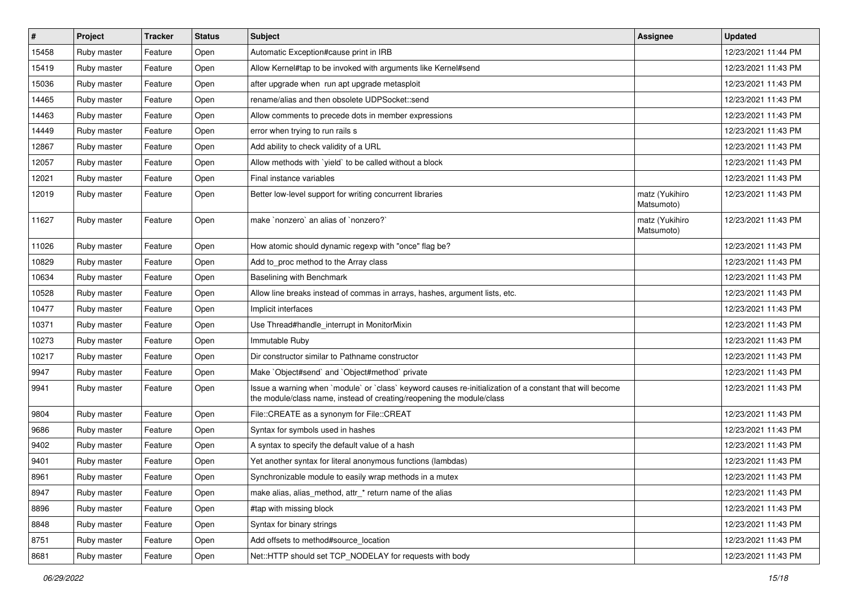| $\sharp$ | Project     | <b>Tracker</b> | <b>Status</b> | Subject                                                                                                                                                                           | Assignee                     | <b>Updated</b>      |
|----------|-------------|----------------|---------------|-----------------------------------------------------------------------------------------------------------------------------------------------------------------------------------|------------------------------|---------------------|
| 15458    | Ruby master | Feature        | Open          | Automatic Exception#cause print in IRB                                                                                                                                            |                              | 12/23/2021 11:44 PM |
| 15419    | Ruby master | Feature        | Open          | Allow Kernel#tap to be invoked with arguments like Kernel#send                                                                                                                    |                              | 12/23/2021 11:43 PM |
| 15036    | Ruby master | Feature        | Open          | after upgrade when run apt upgrade metasploit                                                                                                                                     |                              | 12/23/2021 11:43 PM |
| 14465    | Ruby master | Feature        | Open          | rename/alias and then obsolete UDPSocket::send                                                                                                                                    |                              | 12/23/2021 11:43 PM |
| 14463    | Ruby master | Feature        | Open          | Allow comments to precede dots in member expressions                                                                                                                              |                              | 12/23/2021 11:43 PM |
| 14449    | Ruby master | Feature        | Open          | error when trying to run rails s                                                                                                                                                  |                              | 12/23/2021 11:43 PM |
| 12867    | Ruby master | Feature        | Open          | Add ability to check validity of a URL                                                                                                                                            |                              | 12/23/2021 11:43 PM |
| 12057    | Ruby master | Feature        | Open          | Allow methods with 'yield' to be called without a block                                                                                                                           |                              | 12/23/2021 11:43 PM |
| 12021    | Ruby master | Feature        | Open          | Final instance variables                                                                                                                                                          |                              | 12/23/2021 11:43 PM |
| 12019    | Ruby master | Feature        | Open          | Better low-level support for writing concurrent libraries                                                                                                                         | matz (Yukihiro<br>Matsumoto) | 12/23/2021 11:43 PM |
| 11627    | Ruby master | Feature        | Open          | make `nonzero` an alias of `nonzero?`                                                                                                                                             | matz (Yukihiro<br>Matsumoto) | 12/23/2021 11:43 PM |
| 11026    | Ruby master | Feature        | Open          | How atomic should dynamic regexp with "once" flag be?                                                                                                                             |                              | 12/23/2021 11:43 PM |
| 10829    | Ruby master | Feature        | Open          | Add to_proc method to the Array class                                                                                                                                             |                              | 12/23/2021 11:43 PM |
| 10634    | Ruby master | Feature        | Open          | Baselining with Benchmark                                                                                                                                                         |                              | 12/23/2021 11:43 PM |
| 10528    | Ruby master | Feature        | Open          | Allow line breaks instead of commas in arrays, hashes, argument lists, etc.                                                                                                       |                              | 12/23/2021 11:43 PM |
| 10477    | Ruby master | Feature        | Open          | Implicit interfaces                                                                                                                                                               |                              | 12/23/2021 11:43 PM |
| 10371    | Ruby master | Feature        | Open          | Use Thread#handle_interrupt in MonitorMixin                                                                                                                                       |                              | 12/23/2021 11:43 PM |
| 10273    | Ruby master | Feature        | Open          | Immutable Ruby                                                                                                                                                                    |                              | 12/23/2021 11:43 PM |
| 10217    | Ruby master | Feature        | Open          | Dir constructor similar to Pathname constructor                                                                                                                                   |                              | 12/23/2021 11:43 PM |
| 9947     | Ruby master | Feature        | Open          | Make `Object#send` and `Object#method` private                                                                                                                                    |                              | 12/23/2021 11:43 PM |
| 9941     | Ruby master | Feature        | Open          | Issue a warning when `module` or `class` keyword causes re-initialization of a constant that will become<br>the module/class name, instead of creating/reopening the module/class |                              | 12/23/2021 11:43 PM |
| 9804     | Ruby master | Feature        | Open          | File::CREATE as a synonym for File::CREAT                                                                                                                                         |                              | 12/23/2021 11:43 PM |
| 9686     | Ruby master | Feature        | Open          | Syntax for symbols used in hashes                                                                                                                                                 |                              | 12/23/2021 11:43 PM |
| 9402     | Ruby master | Feature        | Open          | A syntax to specify the default value of a hash                                                                                                                                   |                              | 12/23/2021 11:43 PM |
| 9401     | Ruby master | Feature        | Open          | Yet another syntax for literal anonymous functions (lambdas)                                                                                                                      |                              | 12/23/2021 11:43 PM |
| 8961     | Ruby master | Feature        | Open          | Synchronizable module to easily wrap methods in a mutex                                                                                                                           |                              | 12/23/2021 11:43 PM |
| 8947     | Ruby master | Feature        | Open          | make alias, alias_method, attr_* return name of the alias                                                                                                                         |                              | 12/23/2021 11:43 PM |
| 8896     | Ruby master | Feature        | Open          | #tap with missing block                                                                                                                                                           |                              | 12/23/2021 11:43 PM |
| 8848     | Ruby master | Feature        | Open          | Syntax for binary strings                                                                                                                                                         |                              | 12/23/2021 11:43 PM |
| 8751     | Ruby master | Feature        | Open          | Add offsets to method#source location                                                                                                                                             |                              | 12/23/2021 11:43 PM |
| 8681     | Ruby master | Feature        | Open          | Net::HTTP should set TCP_NODELAY for requests with body                                                                                                                           |                              | 12/23/2021 11:43 PM |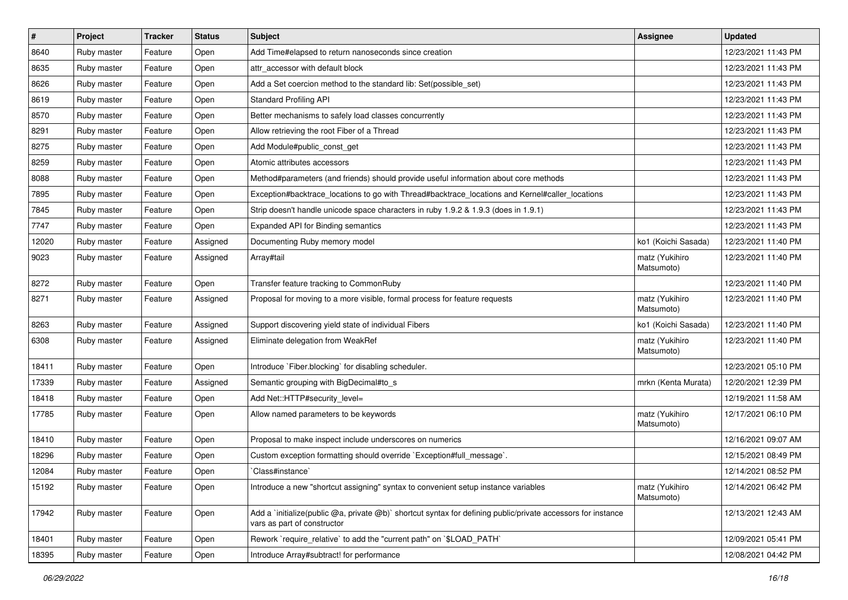| $\pmb{\#}$ | Project     | <b>Tracker</b> | <b>Status</b> | Subject                                                                                                                                     | <b>Assignee</b>              | <b>Updated</b>      |
|------------|-------------|----------------|---------------|---------------------------------------------------------------------------------------------------------------------------------------------|------------------------------|---------------------|
| 8640       | Ruby master | Feature        | Open          | Add Time#elapsed to return nanoseconds since creation                                                                                       |                              | 12/23/2021 11:43 PM |
| 8635       | Ruby master | Feature        | Open          | attr accessor with default block                                                                                                            |                              | 12/23/2021 11:43 PM |
| 8626       | Ruby master | Feature        | Open          | Add a Set coercion method to the standard lib: Set(possible set)                                                                            |                              | 12/23/2021 11:43 PM |
| 8619       | Ruby master | Feature        | Open          | <b>Standard Profiling API</b>                                                                                                               |                              | 12/23/2021 11:43 PM |
| 8570       | Ruby master | Feature        | Open          | Better mechanisms to safely load classes concurrently                                                                                       |                              | 12/23/2021 11:43 PM |
| 8291       | Ruby master | Feature        | Open          | Allow retrieving the root Fiber of a Thread                                                                                                 |                              | 12/23/2021 11:43 PM |
| 8275       | Ruby master | Feature        | Open          | Add Module#public_const_get                                                                                                                 |                              | 12/23/2021 11:43 PM |
| 8259       | Ruby master | Feature        | Open          | Atomic attributes accessors                                                                                                                 |                              | 12/23/2021 11:43 PM |
| 8088       | Ruby master | Feature        | Open          | Method#parameters (and friends) should provide useful information about core methods                                                        |                              | 12/23/2021 11:43 PM |
| 7895       | Ruby master | Feature        | Open          | Exception#backtrace_locations to go with Thread#backtrace_locations and Kernel#caller_locations                                             |                              | 12/23/2021 11:43 PM |
| 7845       | Ruby master | Feature        | Open          | Strip doesn't handle unicode space characters in ruby 1.9.2 & 1.9.3 (does in 1.9.1)                                                         |                              | 12/23/2021 11:43 PM |
| 7747       | Ruby master | Feature        | Open          | Expanded API for Binding semantics                                                                                                          |                              | 12/23/2021 11:43 PM |
| 12020      | Ruby master | Feature        | Assigned      | Documenting Ruby memory model                                                                                                               | ko1 (Koichi Sasada)          | 12/23/2021 11:40 PM |
| 9023       | Ruby master | Feature        | Assigned      | Array#tail                                                                                                                                  | matz (Yukihiro<br>Matsumoto) | 12/23/2021 11:40 PM |
| 8272       | Ruby master | Feature        | Open          | Transfer feature tracking to CommonRuby                                                                                                     |                              | 12/23/2021 11:40 PM |
| 8271       | Ruby master | Feature        | Assigned      | Proposal for moving to a more visible, formal process for feature requests                                                                  | matz (Yukihiro<br>Matsumoto) | 12/23/2021 11:40 PM |
| 8263       | Ruby master | Feature        | Assigned      | Support discovering yield state of individual Fibers                                                                                        | ko1 (Koichi Sasada)          | 12/23/2021 11:40 PM |
| 6308       | Ruby master | Feature        | Assigned      | Eliminate delegation from WeakRef                                                                                                           | matz (Yukihiro<br>Matsumoto) | 12/23/2021 11:40 PM |
| 18411      | Ruby master | Feature        | Open          | Introduce `Fiber.blocking` for disabling scheduler.                                                                                         |                              | 12/23/2021 05:10 PM |
| 17339      | Ruby master | Feature        | Assigned      | Semantic grouping with BigDecimal#to_s                                                                                                      | mrkn (Kenta Murata)          | 12/20/2021 12:39 PM |
| 18418      | Ruby master | Feature        | Open          | Add Net::HTTP#security_level=                                                                                                               |                              | 12/19/2021 11:58 AM |
| 17785      | Ruby master | Feature        | Open          | Allow named parameters to be keywords                                                                                                       | matz (Yukihiro<br>Matsumoto) | 12/17/2021 06:10 PM |
| 18410      | Ruby master | Feature        | Open          | Proposal to make inspect include underscores on numerics                                                                                    |                              | 12/16/2021 09:07 AM |
| 18296      | Ruby master | Feature        | Open          | Custom exception formatting should override `Exception#full_message`.                                                                       |                              | 12/15/2021 08:49 PM |
| 12084      | Ruby master | Feature        | Open          | Class#instance`                                                                                                                             |                              | 12/14/2021 08:52 PM |
| 15192      | Ruby master | Feature        | Open          | Introduce a new "shortcut assigning" syntax to convenient setup instance variables                                                          | matz (Yukihiro<br>Matsumoto) | 12/14/2021 06:42 PM |
| 17942      | Ruby master | Feature        | Open          | Add a `initialize(public @a, private @b)` shortcut syntax for defining public/private accessors for instance<br>vars as part of constructor |                              | 12/13/2021 12:43 AM |
| 18401      | Ruby master | Feature        | Open          | Rework `require relative` to add the "current path" on `\$LOAD PATH`                                                                        |                              | 12/09/2021 05:41 PM |
| 18395      | Ruby master | Feature        | Open          | Introduce Array#subtract! for performance                                                                                                   |                              | 12/08/2021 04:42 PM |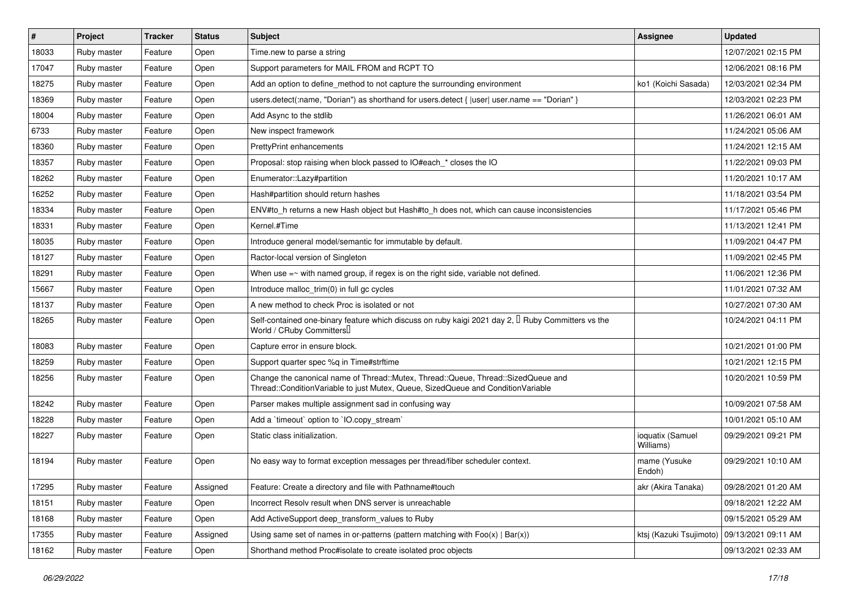| $\pmb{\#}$ | Project     | <b>Tracker</b> | <b>Status</b> | <b>Subject</b>                                                                                                                                                        | Assignee                      | <b>Updated</b>      |
|------------|-------------|----------------|---------------|-----------------------------------------------------------------------------------------------------------------------------------------------------------------------|-------------------------------|---------------------|
| 18033      | Ruby master | Feature        | Open          | Time.new to parse a string                                                                                                                                            |                               | 12/07/2021 02:15 PM |
| 17047      | Ruby master | Feature        | Open          | Support parameters for MAIL FROM and RCPT TO                                                                                                                          |                               | 12/06/2021 08:16 PM |
| 18275      | Ruby master | Feature        | Open          | Add an option to define method to not capture the surrounding environment                                                                                             | ko1 (Koichi Sasada)           | 12/03/2021 02:34 PM |
| 18369      | Ruby master | Feature        | Open          | users.detect(:name, "Dorian") as shorthand for users.detect {  user  user.name == "Dorian" }                                                                          |                               | 12/03/2021 02:23 PM |
| 18004      | Ruby master | Feature        | Open          | Add Async to the stdlib                                                                                                                                               |                               | 11/26/2021 06:01 AM |
| 6733       | Ruby master | Feature        | Open          | New inspect framework                                                                                                                                                 |                               | 11/24/2021 05:06 AM |
| 18360      | Ruby master | Feature        | Open          | <b>PrettyPrint enhancements</b>                                                                                                                                       |                               | 11/24/2021 12:15 AM |
| 18357      | Ruby master | Feature        | Open          | Proposal: stop raising when block passed to IO#each_* closes the IO                                                                                                   |                               | 11/22/2021 09:03 PM |
| 18262      | Ruby master | Feature        | Open          | Enumerator::Lazy#partition                                                                                                                                            |                               | 11/20/2021 10:17 AM |
| 16252      | Ruby master | Feature        | Open          | Hash#partition should return hashes                                                                                                                                   |                               | 11/18/2021 03:54 PM |
| 18334      | Ruby master | Feature        | Open          | ENV#to_h returns a new Hash object but Hash#to_h does not, which can cause inconsistencies                                                                            |                               | 11/17/2021 05:46 PM |
| 18331      | Ruby master | Feature        | Open          | Kernel.#Time                                                                                                                                                          |                               | 11/13/2021 12:41 PM |
| 18035      | Ruby master | Feature        | Open          | Introduce general model/semantic for immutable by default.                                                                                                            |                               | 11/09/2021 04:47 PM |
| 18127      | Ruby master | Feature        | Open          | Ractor-local version of Singleton                                                                                                                                     |                               | 11/09/2021 02:45 PM |
| 18291      | Ruby master | Feature        | Open          | When use $=$ $\sim$ with named group, if regex is on the right side, variable not defined.                                                                            |                               | 11/06/2021 12:36 PM |
| 15667      | Ruby master | Feature        | Open          | Introduce malloc_trim(0) in full gc cycles                                                                                                                            |                               | 11/01/2021 07:32 AM |
| 18137      | Ruby master | Feature        | Open          | A new method to check Proc is isolated or not                                                                                                                         |                               | 10/27/2021 07:30 AM |
| 18265      | Ruby master | Feature        | Open          | Self-contained one-binary feature which discuss on ruby kaigi 2021 day 2, $\Box$ Ruby Committers vs the<br>World / CRuby Committers                                   |                               | 10/24/2021 04:11 PM |
| 18083      | Ruby master | Feature        | Open          | Capture error in ensure block.                                                                                                                                        |                               | 10/21/2021 01:00 PM |
| 18259      | Ruby master | Feature        | Open          | Support quarter spec %q in Time#strftime                                                                                                                              |                               | 10/21/2021 12:15 PM |
| 18256      | Ruby master | Feature        | Open          | Change the canonical name of Thread::Mutex, Thread::Queue, Thread::SizedQueue and<br>Thread::ConditionVariable to just Mutex, Queue, SizedQueue and ConditionVariable |                               | 10/20/2021 10:59 PM |
| 18242      | Ruby master | Feature        | Open          | Parser makes multiple assignment sad in confusing way                                                                                                                 |                               | 10/09/2021 07:58 AM |
| 18228      | Ruby master | Feature        | Open          | Add a 'timeout' option to 'IO.copy_stream'                                                                                                                            |                               | 10/01/2021 05:10 AM |
| 18227      | Ruby master | Feature        | Open          | Static class initialization.                                                                                                                                          | ioquatix (Samuel<br>Williams) | 09/29/2021 09:21 PM |
| 18194      | Ruby master | Feature        | Open          | No easy way to format exception messages per thread/fiber scheduler context.                                                                                          | mame (Yusuke<br>Endoh)        | 09/29/2021 10:10 AM |
| 17295      | Ruby master | Feature        | Assigned      | Feature: Create a directory and file with Pathname#touch                                                                                                              | akr (Akira Tanaka)            | 09/28/2021 01:20 AM |
| 18151      | Ruby master | Feature        | Open          | Incorrect Resolv result when DNS server is unreachable                                                                                                                |                               | 09/18/2021 12:22 AM |
| 18168      | Ruby master | Feature        | Open          | Add ActiveSupport deep transform values to Ruby                                                                                                                       |                               | 09/15/2021 05:29 AM |
| 17355      | Ruby master | Feature        | Assigned      | Using same set of names in or-patterns (pattern matching with $Foo(x)   Bar(x)$ )                                                                                     | ktsj (Kazuki Tsujimoto)       | 09/13/2021 09:11 AM |
| 18162      | Ruby master | Feature        | Open          | Shorthand method Proc#isolate to create isolated proc objects                                                                                                         |                               | 09/13/2021 02:33 AM |